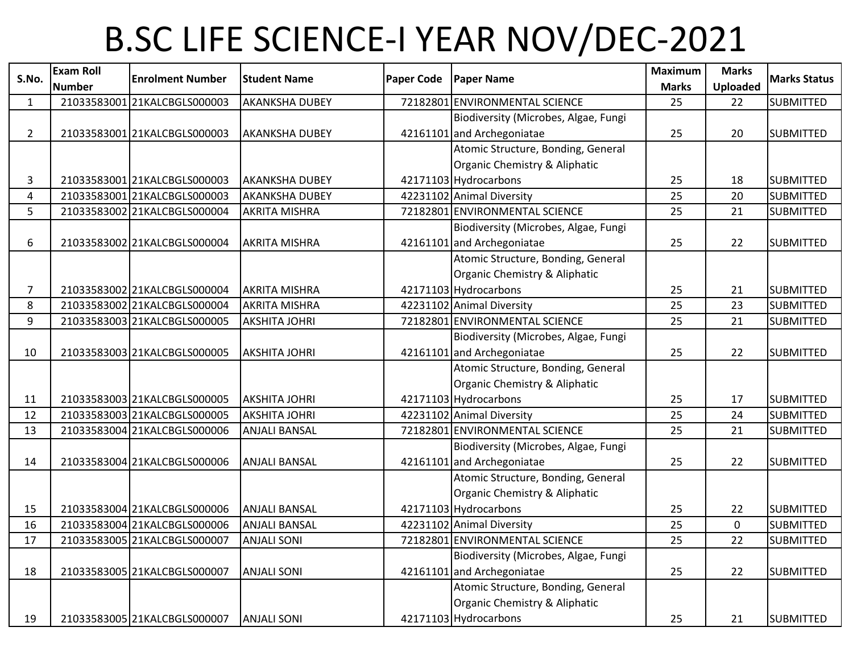## B.SC LIFE SCIENCE-I YEAR NOV/DEC-2021

| S.No.          | <b>Exam Roll</b> | <b>Enrolment Number</b>      | <b>Student Name</b>   | <b>Paper Code</b> | <b>Paper Name</b>                    | <b>Maximum</b> | <b>Marks</b>    | <b>Marks Status</b> |
|----------------|------------------|------------------------------|-----------------------|-------------------|--------------------------------------|----------------|-----------------|---------------------|
|                | <b>Number</b>    |                              |                       |                   |                                      | <b>Marks</b>   | <b>Uploaded</b> |                     |
| $\mathbf{1}$   |                  | 21033583001 21KALCBGLS000003 | <b>AKANKSHA DUBEY</b> |                   | 72182801 ENVIRONMENTAL SCIENCE       | 25             | 22              | <b>SUBMITTED</b>    |
|                |                  |                              |                       |                   | Biodiversity (Microbes, Algae, Fungi |                |                 |                     |
| $2^{\circ}$    |                  | 21033583001 21KALCBGLS000003 | <b>AKANKSHA DUBEY</b> |                   | 42161101 and Archegoniatae           | 25             | 20              | <b>SUBMITTED</b>    |
|                |                  |                              |                       |                   | Atomic Structure, Bonding, General   |                |                 |                     |
|                |                  |                              |                       |                   | Organic Chemistry & Aliphatic        |                |                 |                     |
| 3              |                  | 21033583001 21KALCBGLS000003 | <b>AKANKSHA DUBEY</b> |                   | 42171103 Hydrocarbons                | 25             | 18              | <b>SUBMITTED</b>    |
| $\overline{4}$ |                  | 21033583001 21KALCBGLS000003 | <b>AKANKSHA DUBEY</b> |                   | 42231102 Animal Diversity            | 25             | 20              | <b>SUBMITTED</b>    |
| 5              |                  | 21033583002 21KALCBGLS000004 | <b>AKRITA MISHRA</b>  |                   | 72182801 ENVIRONMENTAL SCIENCE       | 25             | 21              | <b>SUBMITTED</b>    |
|                |                  |                              |                       |                   | Biodiversity (Microbes, Algae, Fungi |                |                 |                     |
| 6              |                  | 21033583002 21KALCBGLS000004 | <b>AKRITA MISHRA</b>  |                   | 42161101 and Archegoniatae           | 25             | 22              | <b>SUBMITTED</b>    |
|                |                  |                              |                       |                   | Atomic Structure, Bonding, General   |                |                 |                     |
|                |                  |                              |                       |                   | Organic Chemistry & Aliphatic        |                |                 |                     |
| $\overline{7}$ |                  | 21033583002 21KALCBGLS000004 | <b>AKRITA MISHRA</b>  |                   | 42171103 Hydrocarbons                | 25             | 21              | <b>SUBMITTED</b>    |
| 8              |                  | 21033583002 21KALCBGLS000004 | <b>AKRITA MISHRA</b>  |                   | 42231102 Animal Diversity            | 25             | 23              | <b>SUBMITTED</b>    |
| 9              |                  | 21033583003 21KALCBGLS000005 | <b>AKSHITA JOHRI</b>  |                   | 72182801 ENVIRONMENTAL SCIENCE       | 25             | 21              | <b>SUBMITTED</b>    |
|                |                  |                              |                       |                   | Biodiversity (Microbes, Algae, Fungi |                |                 |                     |
| 10             |                  | 21033583003 21KALCBGLS000005 | <b>AKSHITA JOHRI</b>  |                   | 42161101 and Archegoniatae           | 25             | 22              | <b>SUBMITTED</b>    |
|                |                  |                              |                       |                   | Atomic Structure, Bonding, General   |                |                 |                     |
|                |                  |                              |                       |                   | Organic Chemistry & Aliphatic        |                |                 |                     |
| 11             |                  | 21033583003 21KALCBGLS000005 | <b>AKSHITA JOHRI</b>  |                   | 42171103 Hydrocarbons                | 25             | 17              | <b>SUBMITTED</b>    |
| 12             |                  | 21033583003 21KALCBGLS000005 | <b>AKSHITA JOHRI</b>  |                   | 42231102 Animal Diversity            | 25             | 24              | <b>SUBMITTED</b>    |
| 13             |                  | 21033583004 21KALCBGLS000006 | <b>ANJALI BANSAL</b>  |                   | 72182801 ENVIRONMENTAL SCIENCE       | 25             | 21              | <b>SUBMITTED</b>    |
|                |                  |                              |                       |                   | Biodiversity (Microbes, Algae, Fungi |                |                 |                     |
| 14             |                  | 21033583004 21KALCBGLS000006 | <b>ANJALI BANSAL</b>  |                   | 42161101 and Archegoniatae           | 25             | 22              | <b>SUBMITTED</b>    |
|                |                  |                              |                       |                   | Atomic Structure, Bonding, General   |                |                 |                     |
|                |                  |                              |                       |                   | Organic Chemistry & Aliphatic        |                |                 |                     |
| 15             |                  | 21033583004 21KALCBGLS000006 | <b>ANJALI BANSAL</b>  |                   | 42171103 Hydrocarbons                | 25             | 22              | <b>SUBMITTED</b>    |
| 16             |                  | 21033583004 21KALCBGLS000006 | <b>ANJALI BANSAL</b>  |                   | 42231102 Animal Diversity            | 25             | 0               | <b>SUBMITTED</b>    |
| 17             |                  | 21033583005 21KALCBGLS000007 | <b>ANJALI SONI</b>    |                   | 72182801 ENVIRONMENTAL SCIENCE       | 25             | 22              | <b>SUBMITTED</b>    |
|                |                  |                              |                       |                   | Biodiversity (Microbes, Algae, Fungi |                |                 |                     |
| 18             |                  | 21033583005 21KALCBGLS000007 | <b>ANJALI SONI</b>    |                   | 42161101 and Archegoniatae           | 25             | 22              | <b>SUBMITTED</b>    |
|                |                  |                              |                       |                   | Atomic Structure, Bonding, General   |                |                 |                     |
|                |                  |                              |                       |                   | Organic Chemistry & Aliphatic        |                |                 |                     |
| 19             |                  | 21033583005 21KALCBGLS000007 | <b>ANJALI SONI</b>    |                   | 42171103 Hydrocarbons                | 25             | 21              | <b>SUBMITTED</b>    |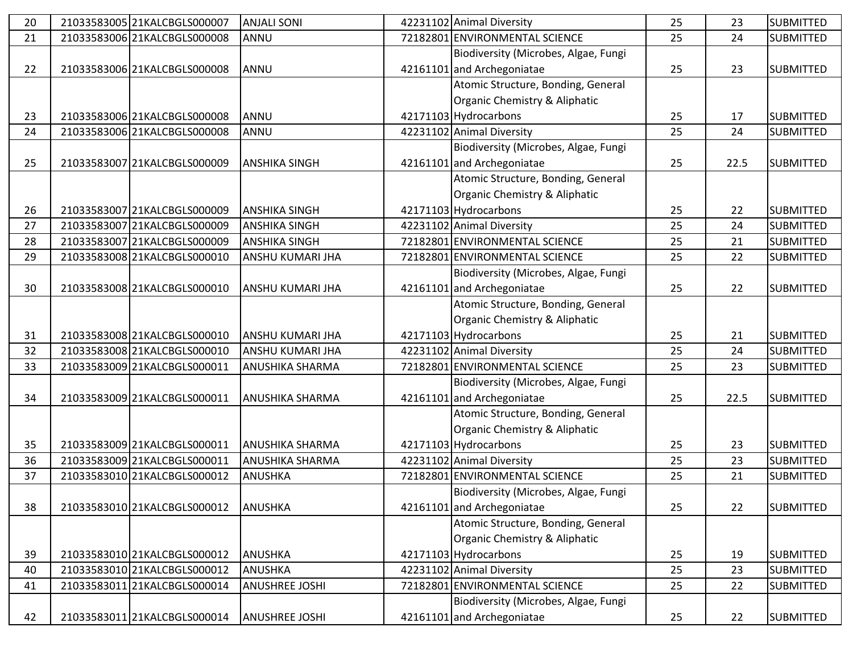| 20 | 21033583005 21KALCBGLS000007 | <b>ANJALI SONI</b>     | 42231102 Animal Diversity            | 25 | 23   | <b>SUBMITTED</b> |
|----|------------------------------|------------------------|--------------------------------------|----|------|------------------|
| 21 | 21033583006 21KALCBGLS000008 | ANNU                   | 72182801 ENVIRONMENTAL SCIENCE       | 25 | 24   | <b>SUBMITTED</b> |
|    |                              |                        | Biodiversity (Microbes, Algae, Fungi |    |      |                  |
| 22 | 21033583006 21KALCBGLS000008 | ANNU                   | 42161101 and Archegoniatae           | 25 | 23   | <b>SUBMITTED</b> |
|    |                              |                        | Atomic Structure, Bonding, General   |    |      |                  |
|    |                              |                        | Organic Chemistry & Aliphatic        |    |      |                  |
| 23 | 21033583006 21KALCBGLS000008 | ANNU                   | 42171103 Hydrocarbons                | 25 | 17   | <b>SUBMITTED</b> |
| 24 | 21033583006 21KALCBGLS000008 | ANNU                   | 42231102 Animal Diversity            | 25 | 24   | <b>SUBMITTED</b> |
|    |                              |                        | Biodiversity (Microbes, Algae, Fungi |    |      |                  |
| 25 | 21033583007 21KALCBGLS000009 | <b>ANSHIKA SINGH</b>   | 42161101 and Archegoniatae           | 25 | 22.5 | <b>SUBMITTED</b> |
|    |                              |                        | Atomic Structure, Bonding, General   |    |      |                  |
|    |                              |                        | Organic Chemistry & Aliphatic        |    |      |                  |
| 26 | 21033583007 21KALCBGLS000009 | <b>ANSHIKA SINGH</b>   | 42171103 Hydrocarbons                | 25 | 22   | <b>SUBMITTED</b> |
| 27 | 21033583007 21KALCBGLS000009 | <b>ANSHIKA SINGH</b>   | 42231102 Animal Diversity            | 25 | 24   | <b>SUBMITTED</b> |
| 28 | 21033583007 21KALCBGLS000009 | <b>ANSHIKA SINGH</b>   | 72182801 ENVIRONMENTAL SCIENCE       | 25 | 21   | <b>SUBMITTED</b> |
| 29 | 21033583008 21KALCBGLS000010 | ANSHU KUMARI JHA       | 72182801 ENVIRONMENTAL SCIENCE       | 25 | 22   | <b>SUBMITTED</b> |
|    |                              |                        | Biodiversity (Microbes, Algae, Fungi |    |      |                  |
| 30 | 21033583008 21KALCBGLS000010 | ANSHU KUMARI JHA       | 42161101 and Archegoniatae           | 25 | 22   | <b>SUBMITTED</b> |
|    |                              |                        | Atomic Structure, Bonding, General   |    |      |                  |
|    |                              |                        | Organic Chemistry & Aliphatic        |    |      |                  |
| 31 | 21033583008 21KALCBGLS000010 | ANSHU KUMARI JHA       | 42171103 Hydrocarbons                | 25 | 21   | <b>SUBMITTED</b> |
| 32 | 21033583008 21KALCBGLS000010 | ANSHU KUMARI JHA       | 42231102 Animal Diversity            | 25 | 24   | <b>SUBMITTED</b> |
| 33 | 21033583009 21KALCBGLS000011 | <b>ANUSHIKA SHARMA</b> | 72182801 ENVIRONMENTAL SCIENCE       | 25 | 23   | <b>SUBMITTED</b> |
|    |                              |                        | Biodiversity (Microbes, Algae, Fungi |    |      |                  |
| 34 | 21033583009 21KALCBGLS000011 | <b>ANUSHIKA SHARMA</b> | 42161101 and Archegoniatae           | 25 | 22.5 | <b>SUBMITTED</b> |
|    |                              |                        | Atomic Structure, Bonding, General   |    |      |                  |
|    |                              |                        | Organic Chemistry & Aliphatic        |    |      |                  |
| 35 | 21033583009 21KALCBGLS000011 | <b>ANUSHIKA SHARMA</b> | 42171103 Hydrocarbons                | 25 | 23   | <b>SUBMITTED</b> |
| 36 | 21033583009 21KALCBGLS000011 | ANUSHIKA SHARMA        | 42231102 Animal Diversity            | 25 | 23   | <b>SUBMITTED</b> |
| 37 | 21033583010 21KALCBGLS000012 | ANUSHKA                | 72182801 ENVIRONMENTAL SCIENCE       | 25 | 21   | <b>SUBMITTED</b> |
|    |                              |                        | Biodiversity (Microbes, Algae, Fungi |    |      |                  |
| 38 | 21033583010 21KALCBGLS000012 | <b>ANUSHKA</b>         | 42161101 and Archegoniatae           | 25 | 22   | <b>SUBMITTED</b> |
|    |                              |                        | Atomic Structure, Bonding, General   |    |      |                  |
|    |                              |                        | Organic Chemistry & Aliphatic        |    |      |                  |
| 39 | 21033583010 21KALCBGLS000012 | <b>ANUSHKA</b>         | 42171103 Hydrocarbons                | 25 | 19   | <b>SUBMITTED</b> |
| 40 | 21033583010 21KALCBGLS000012 | <b>ANUSHKA</b>         | 42231102 Animal Diversity            | 25 | 23   | <b>SUBMITTED</b> |
| 41 | 21033583011 21KALCBGLS000014 | <b>ANUSHREE JOSHI</b>  | 72182801 ENVIRONMENTAL SCIENCE       | 25 | 22   | <b>SUBMITTED</b> |
|    |                              |                        | Biodiversity (Microbes, Algae, Fungi |    |      |                  |
| 42 | 21033583011 21KALCBGLS000014 | <b>ANUSHREE JOSHI</b>  | 42161101 and Archegoniatae           | 25 | 22   | <b>SUBMITTED</b> |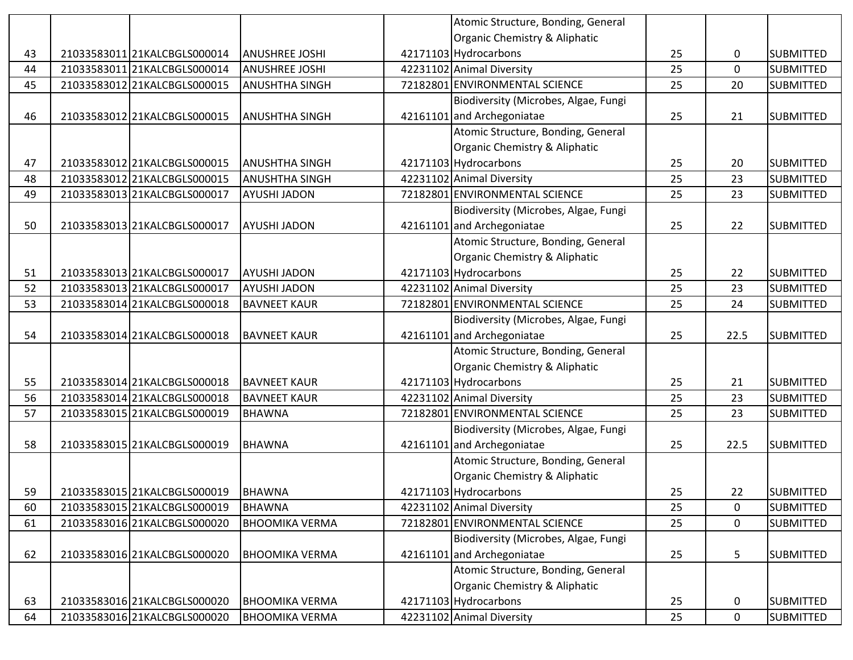|    |                              |                       | Atomic Structure, Bonding, General   |    |             |                  |
|----|------------------------------|-----------------------|--------------------------------------|----|-------------|------------------|
|    |                              |                       | Organic Chemistry & Aliphatic        |    |             |                  |
| 43 | 21033583011 21KALCBGLS000014 | <b>ANUSHREE JOSHI</b> | 42171103 Hydrocarbons                | 25 | 0           | <b>SUBMITTED</b> |
| 44 | 21033583011 21KALCBGLS000014 | <b>ANUSHREE JOSHI</b> | 42231102 Animal Diversity            | 25 | $\mathbf 0$ | <b>SUBMITTED</b> |
| 45 | 21033583012 21KALCBGLS000015 | <b>ANUSHTHA SINGH</b> | 72182801 ENVIRONMENTAL SCIENCE       | 25 | 20          | <b>SUBMITTED</b> |
|    |                              |                       | Biodiversity (Microbes, Algae, Fungi |    |             |                  |
| 46 | 21033583012 21KALCBGLS000015 | <b>ANUSHTHA SINGH</b> | 42161101 and Archegoniatae           | 25 | 21          | <b>SUBMITTED</b> |
|    |                              |                       | Atomic Structure, Bonding, General   |    |             |                  |
|    |                              |                       | Organic Chemistry & Aliphatic        |    |             |                  |
| 47 | 21033583012 21KALCBGLS000015 | <b>ANUSHTHA SINGH</b> | 42171103 Hydrocarbons                | 25 | 20          | <b>SUBMITTED</b> |
| 48 | 21033583012 21KALCBGLS000015 | <b>ANUSHTHA SINGH</b> | 42231102 Animal Diversity            | 25 | 23          | <b>SUBMITTED</b> |
| 49 | 21033583013 21KALCBGLS000017 | <b>AYUSHI JADON</b>   | 72182801 ENVIRONMENTAL SCIENCE       | 25 | 23          | <b>SUBMITTED</b> |
|    |                              |                       | Biodiversity (Microbes, Algae, Fungi |    |             |                  |
| 50 | 21033583013 21KALCBGLS000017 | <b>AYUSHI JADON</b>   | 42161101 and Archegoniatae           | 25 | 22          | <b>SUBMITTED</b> |
|    |                              |                       | Atomic Structure, Bonding, General   |    |             |                  |
|    |                              |                       | Organic Chemistry & Aliphatic        |    |             |                  |
| 51 | 21033583013 21KALCBGLS000017 | <b>AYUSHI JADON</b>   | 42171103 Hydrocarbons                | 25 | 22          | <b>SUBMITTED</b> |
| 52 | 21033583013 21KALCBGLS000017 | <b>AYUSHI JADON</b>   | 42231102 Animal Diversity            | 25 | 23          | <b>SUBMITTED</b> |
| 53 | 21033583014 21KALCBGLS000018 | <b>BAVNEET KAUR</b>   | 72182801 ENVIRONMENTAL SCIENCE       | 25 | 24          | <b>SUBMITTED</b> |
|    |                              |                       | Biodiversity (Microbes, Algae, Fungi |    |             |                  |
| 54 | 21033583014 21KALCBGLS000018 | <b>BAVNEET KAUR</b>   | 42161101 and Archegoniatae           | 25 | 22.5        | <b>SUBMITTED</b> |
|    |                              |                       | Atomic Structure, Bonding, General   |    |             |                  |
|    |                              |                       | Organic Chemistry & Aliphatic        |    |             |                  |
| 55 | 21033583014 21KALCBGLS000018 | <b>BAVNEET KAUR</b>   | 42171103 Hydrocarbons                | 25 | 21          | <b>SUBMITTED</b> |
| 56 | 21033583014 21KALCBGLS000018 | <b>BAVNEET KAUR</b>   | 42231102 Animal Diversity            | 25 | 23          | <b>SUBMITTED</b> |
| 57 | 21033583015 21KALCBGLS000019 | <b>BHAWNA</b>         | 72182801 ENVIRONMENTAL SCIENCE       | 25 | 23          | <b>SUBMITTED</b> |
|    |                              |                       | Biodiversity (Microbes, Algae, Fungi |    |             |                  |
| 58 | 21033583015 21KALCBGLS000019 | <b>BHAWNA</b>         | 42161101 and Archegoniatae           | 25 | 22.5        | <b>SUBMITTED</b> |
|    |                              |                       | Atomic Structure, Bonding, General   |    |             |                  |
|    |                              |                       | Organic Chemistry & Aliphatic        |    |             |                  |
| 59 | 21033583015 21KALCBGLS000019 | <b>BHAWNA</b>         | 42171103 Hydrocarbons                | 25 | 22          | <b>SUBMITTED</b> |
| 60 | 21033583015 21KALCBGLS000019 | <b>BHAWNA</b>         | 42231102 Animal Diversity            | 25 | 0           | <b>SUBMITTED</b> |
| 61 | 21033583016 21KALCBGLS000020 | <b>BHOOMIKA VERMA</b> | 72182801 ENVIRONMENTAL SCIENCE       | 25 | $\mathbf 0$ | <b>SUBMITTED</b> |
|    |                              |                       | Biodiversity (Microbes, Algae, Fungi |    |             |                  |
| 62 | 21033583016 21KALCBGLS000020 | <b>BHOOMIKA VERMA</b> | 42161101 and Archegoniatae           | 25 | 5           | <b>SUBMITTED</b> |
|    |                              |                       | Atomic Structure, Bonding, General   |    |             |                  |
|    |                              |                       | Organic Chemistry & Aliphatic        |    |             |                  |
| 63 | 21033583016 21KALCBGLS000020 | <b>BHOOMIKA VERMA</b> | 42171103 Hydrocarbons                | 25 | 0           | <b>SUBMITTED</b> |
| 64 | 21033583016 21KALCBGLS000020 | <b>BHOOMIKA VERMA</b> | 42231102 Animal Diversity            | 25 | $\pmb{0}$   | SUBMITTED        |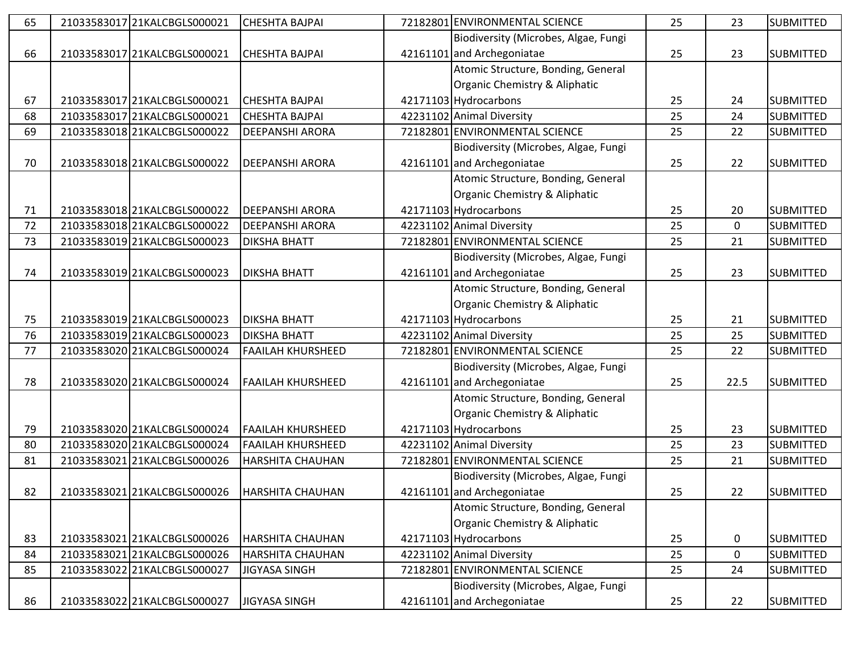| 65 | 21033583017 21KALCBGLS000021 | <b>CHESHTA BAJPAI</b>    | 72182801 ENVIRONMENTAL SCIENCE       | 25 | 23          | <b>SUBMITTED</b> |
|----|------------------------------|--------------------------|--------------------------------------|----|-------------|------------------|
|    |                              |                          | Biodiversity (Microbes, Algae, Fungi |    |             |                  |
| 66 | 21033583017 21KALCBGLS000021 | <b>CHESHTA BAJPAI</b>    | 42161101 and Archegoniatae           | 25 | 23          | <b>SUBMITTED</b> |
|    |                              |                          | Atomic Structure, Bonding, General   |    |             |                  |
|    |                              |                          | Organic Chemistry & Aliphatic        |    |             |                  |
| 67 | 21033583017 21KALCBGLS000021 | <b>CHESHTA BAJPAI</b>    | 42171103 Hydrocarbons                | 25 | 24          | <b>SUBMITTED</b> |
| 68 | 21033583017 21KALCBGLS000021 | <b>CHESHTA BAJPAI</b>    | 42231102 Animal Diversity            | 25 | 24          | <b>SUBMITTED</b> |
| 69 | 2103358301821KALCBGLS000022  | <b>DEEPANSHI ARORA</b>   | 72182801 ENVIRONMENTAL SCIENCE       | 25 | 22          | <b>SUBMITTED</b> |
|    |                              |                          | Biodiversity (Microbes, Algae, Fungi |    |             |                  |
| 70 | 21033583018 21KALCBGLS000022 | <b>DEEPANSHI ARORA</b>   | 42161101 and Archegoniatae           | 25 | 22          | <b>SUBMITTED</b> |
|    |                              |                          | Atomic Structure, Bonding, General   |    |             |                  |
|    |                              |                          | Organic Chemistry & Aliphatic        |    |             |                  |
| 71 | 21033583018 21KALCBGLS000022 | <b>DEEPANSHI ARORA</b>   | 42171103 Hydrocarbons                | 25 | 20          | <b>SUBMITTED</b> |
| 72 | 21033583018 21KALCBGLS000022 | <b>DEEPANSHI ARORA</b>   | 42231102 Animal Diversity            | 25 | $\mathbf 0$ | <b>SUBMITTED</b> |
| 73 | 21033583019 21KALCBGLS000023 | <b>DIKSHA BHATT</b>      | 72182801 ENVIRONMENTAL SCIENCE       | 25 | 21          | <b>SUBMITTED</b> |
|    |                              |                          | Biodiversity (Microbes, Algae, Fungi |    |             |                  |
| 74 | 21033583019 21KALCBGLS000023 | <b>DIKSHA BHATT</b>      | 42161101 and Archegoniatae           | 25 | 23          | <b>SUBMITTED</b> |
|    |                              |                          | Atomic Structure, Bonding, General   |    |             |                  |
|    |                              |                          | Organic Chemistry & Aliphatic        |    |             |                  |
| 75 | 2103358301921KALCBGLS000023  | <b>DIKSHA BHATT</b>      | 42171103 Hydrocarbons                | 25 | 21          | <b>SUBMITTED</b> |
| 76 | 21033583019 21KALCBGLS000023 | <b>DIKSHA BHATT</b>      | 42231102 Animal Diversity            | 25 | 25          | <b>SUBMITTED</b> |
| 77 | 21033583020 21KALCBGLS000024 | <b>FAAILAH KHURSHEED</b> | 72182801 ENVIRONMENTAL SCIENCE       | 25 | 22          | <b>SUBMITTED</b> |
|    |                              |                          | Biodiversity (Microbes, Algae, Fungi |    |             |                  |
| 78 | 21033583020 21KALCBGLS000024 | <b>FAAILAH KHURSHEED</b> | 42161101 and Archegoniatae           | 25 | 22.5        | <b>SUBMITTED</b> |
|    |                              |                          | Atomic Structure, Bonding, General   |    |             |                  |
|    |                              |                          | Organic Chemistry & Aliphatic        |    |             |                  |
| 79 | 21033583020 21KALCBGLS000024 | <b>FAAILAH KHURSHEED</b> | 42171103 Hydrocarbons                | 25 | 23          | <b>SUBMITTED</b> |
| 80 | 21033583020 21KALCBGLS000024 | <b>FAAILAH KHURSHEED</b> | 42231102 Animal Diversity            | 25 | 23          | <b>SUBMITTED</b> |
| 81 | 21033583021 21KALCBGLS000026 | HARSHITA CHAUHAN         | 72182801 ENVIRONMENTAL SCIENCE       | 25 | 21          | <b>SUBMITTED</b> |
|    |                              |                          | Biodiversity (Microbes, Algae, Fungi |    |             |                  |
| 82 | 21033583021 21KALCBGLS000026 | <b>HARSHITA CHAUHAN</b>  | 42161101 and Archegoniatae           | 25 | 22          | <b>SUBMITTED</b> |
|    |                              |                          | Atomic Structure, Bonding, General   |    |             |                  |
|    |                              |                          | Organic Chemistry & Aliphatic        |    |             |                  |
| 83 | 21033583021 21KALCBGLS000026 | <b>HARSHITA CHAUHAN</b>  | 42171103 Hydrocarbons                | 25 | 0           | <b>SUBMITTED</b> |
| 84 | 21033583021 21KALCBGLS000026 | HARSHITA CHAUHAN         | 42231102 Animal Diversity            | 25 | $\mathbf 0$ | <b>SUBMITTED</b> |
| 85 | 21033583022 21KALCBGLS000027 | <b>JIGYASA SINGH</b>     | 72182801 ENVIRONMENTAL SCIENCE       | 25 | 24          | <b>SUBMITTED</b> |
|    |                              |                          | Biodiversity (Microbes, Algae, Fungi |    |             |                  |
| 86 | 21033583022 21KALCBGLS000027 | JIGYASA SINGH            | 42161101 and Archegoniatae           | 25 | 22          | <b>SUBMITTED</b> |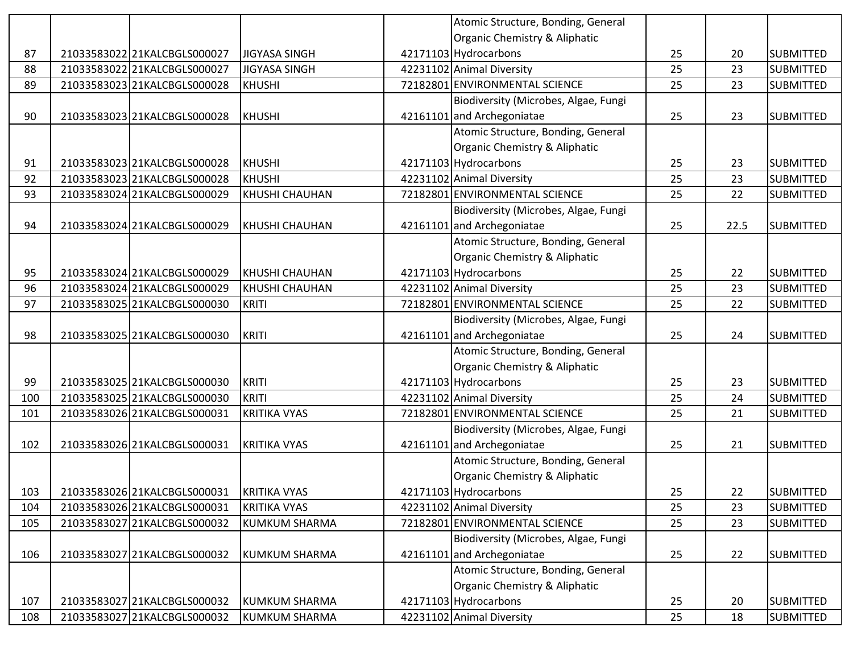|     |                              |                       | Atomic Structure, Bonding, General   |    |      |                  |
|-----|------------------------------|-----------------------|--------------------------------------|----|------|------------------|
|     |                              |                       | Organic Chemistry & Aliphatic        |    |      |                  |
| 87  | 21033583022 21KALCBGLS000027 | <b>JIGYASA SINGH</b>  | 42171103 Hydrocarbons                | 25 | 20   | <b>SUBMITTED</b> |
| 88  | 21033583022 21KALCBGLS000027 | <b>JIGYASA SINGH</b>  | 42231102 Animal Diversity            | 25 | 23   | <b>SUBMITTED</b> |
| 89  | 21033583023 21KALCBGLS000028 | <b>KHUSHI</b>         | 72182801 ENVIRONMENTAL SCIENCE       | 25 | 23   | <b>SUBMITTED</b> |
|     |                              |                       | Biodiversity (Microbes, Algae, Fungi |    |      |                  |
| 90  | 21033583023 21KALCBGLS000028 | <b>KHUSHI</b>         | 42161101 and Archegoniatae           | 25 | 23   | <b>SUBMITTED</b> |
|     |                              |                       | Atomic Structure, Bonding, General   |    |      |                  |
|     |                              |                       | Organic Chemistry & Aliphatic        |    |      |                  |
| 91  | 21033583023 21KALCBGLS000028 | <b>KHUSHI</b>         | 42171103 Hydrocarbons                | 25 | 23   | <b>SUBMITTED</b> |
| 92  | 21033583023 21KALCBGLS000028 | <b>KHUSHI</b>         | 42231102 Animal Diversity            | 25 | 23   | <b>SUBMITTED</b> |
| 93  | 21033583024 21KALCBGLS000029 | KHUSHI CHAUHAN        | 72182801 ENVIRONMENTAL SCIENCE       | 25 | 22   | <b>SUBMITTED</b> |
|     |                              |                       | Biodiversity (Microbes, Algae, Fungi |    |      |                  |
| 94  | 21033583024 21KALCBGLS000029 | <b>KHUSHI CHAUHAN</b> | 42161101 and Archegoniatae           | 25 | 22.5 | <b>SUBMITTED</b> |
|     |                              |                       | Atomic Structure, Bonding, General   |    |      |                  |
|     |                              |                       | Organic Chemistry & Aliphatic        |    |      |                  |
| 95  | 21033583024 21KALCBGLS000029 | <b>KHUSHI CHAUHAN</b> | 42171103 Hydrocarbons                | 25 | 22   | <b>SUBMITTED</b> |
| 96  | 21033583024 21KALCBGLS000029 | KHUSHI CHAUHAN        | 42231102 Animal Diversity            | 25 | 23   | <b>SUBMITTED</b> |
| 97  | 21033583025 21KALCBGLS000030 | <b>KRITI</b>          | 72182801 ENVIRONMENTAL SCIENCE       | 25 | 22   | <b>SUBMITTED</b> |
|     |                              |                       | Biodiversity (Microbes, Algae, Fungi |    |      |                  |
| 98  | 21033583025 21KALCBGLS000030 | <b>KRITI</b>          | 42161101 and Archegoniatae           | 25 | 24   | <b>SUBMITTED</b> |
|     |                              |                       | Atomic Structure, Bonding, General   |    |      |                  |
|     |                              |                       | Organic Chemistry & Aliphatic        |    |      |                  |
| 99  | 21033583025 21KALCBGLS000030 | <b>KRITI</b>          | 42171103 Hydrocarbons                | 25 | 23   | <b>SUBMITTED</b> |
| 100 | 21033583025 21KALCBGLS000030 | <b>KRITI</b>          | 42231102 Animal Diversity            | 25 | 24   | <b>SUBMITTED</b> |
| 101 | 21033583026 21KALCBGLS000031 | <b>KRITIKA VYAS</b>   | 72182801 ENVIRONMENTAL SCIENCE       | 25 | 21   | <b>SUBMITTED</b> |
|     |                              |                       | Biodiversity (Microbes, Algae, Fungi |    |      |                  |
| 102 | 21033583026 21KALCBGLS000031 | <b>KRITIKA VYAS</b>   | 42161101 and Archegoniatae           | 25 | 21   | <b>SUBMITTED</b> |
|     |                              |                       | Atomic Structure, Bonding, General   |    |      |                  |
|     |                              |                       | Organic Chemistry & Aliphatic        |    |      |                  |
| 103 | 21033583026 21KALCBGLS000031 | <b>KRITIKA VYAS</b>   | 42171103 Hydrocarbons                | 25 | 22   | <b>SUBMITTED</b> |
| 104 | 21033583026 21KALCBGLS000031 | <b>KRITIKA VYAS</b>   | 42231102 Animal Diversity            | 25 | 23   | <b>SUBMITTED</b> |
| 105 | 21033583027 21KALCBGLS000032 | <b>KUMKUM SHARMA</b>  | 72182801 ENVIRONMENTAL SCIENCE       | 25 | 23   | <b>SUBMITTED</b> |
|     |                              |                       | Biodiversity (Microbes, Algae, Fungi |    |      |                  |
| 106 | 21033583027 21KALCBGLS000032 | <b>KUMKUM SHARMA</b>  | 42161101 and Archegoniatae           | 25 | 22   | <b>SUBMITTED</b> |
|     |                              |                       | Atomic Structure, Bonding, General   |    |      |                  |
|     |                              |                       | Organic Chemistry & Aliphatic        |    |      |                  |
| 107 | 21033583027 21KALCBGLS000032 | <b>KUMKUM SHARMA</b>  | 42171103 Hydrocarbons                | 25 | 20   | <b>SUBMITTED</b> |
| 108 | 21033583027 21KALCBGLS000032 | <b>KUMKUM SHARMA</b>  | 42231102 Animal Diversity            | 25 | 18   | <b>SUBMITTED</b> |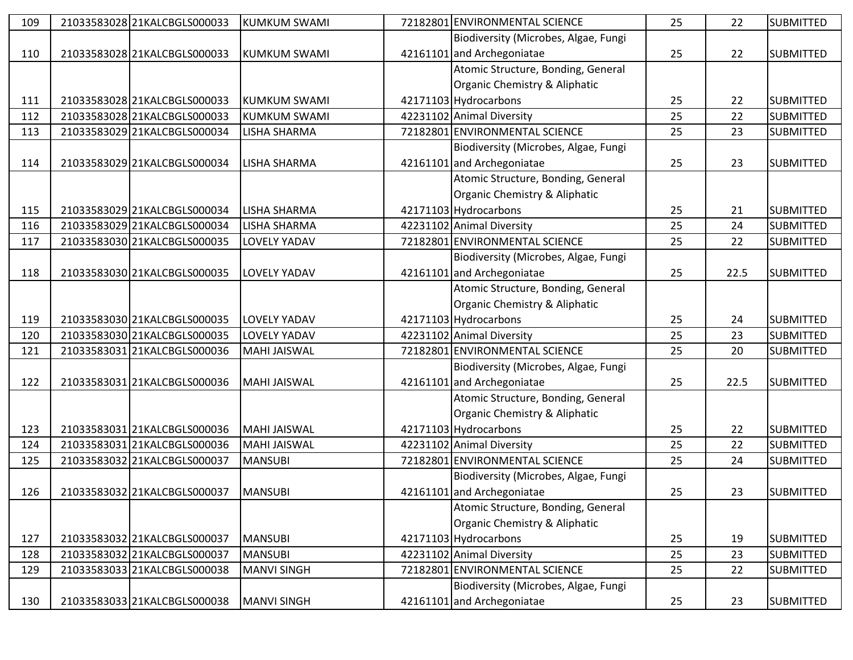| 109 | 21033583028 21KALCBGLS000033 | <b>KUMKUM SWAMI</b> | 72182801 ENVIRONMENTAL SCIENCE       | 25 | 22   | <b>SUBMITTED</b> |
|-----|------------------------------|---------------------|--------------------------------------|----|------|------------------|
|     |                              |                     | Biodiversity (Microbes, Algae, Fungi |    |      |                  |
| 110 | 21033583028 21KALCBGLS000033 | <b>KUMKUM SWAMI</b> | 42161101 and Archegoniatae           | 25 | 22   | <b>SUBMITTED</b> |
|     |                              |                     | Atomic Structure, Bonding, General   |    |      |                  |
|     |                              |                     | Organic Chemistry & Aliphatic        |    |      |                  |
| 111 | 21033583028 21KALCBGLS000033 | <b>KUMKUM SWAMI</b> | 42171103 Hydrocarbons                | 25 | 22   | <b>SUBMITTED</b> |
| 112 | 21033583028 21KALCBGLS000033 | <b>KUMKUM SWAMI</b> | 42231102 Animal Diversity            | 25 | 22   | <b>SUBMITTED</b> |
| 113 | 21033583029 21KALCBGLS000034 | LISHA SHARMA        | 72182801 ENVIRONMENTAL SCIENCE       | 25 | 23   | <b>SUBMITTED</b> |
|     |                              |                     | Biodiversity (Microbes, Algae, Fungi |    |      |                  |
| 114 | 21033583029 21KALCBGLS000034 | LISHA SHARMA        | 42161101 and Archegoniatae           | 25 | 23   | <b>SUBMITTED</b> |
|     |                              |                     | Atomic Structure, Bonding, General   |    |      |                  |
|     |                              |                     | Organic Chemistry & Aliphatic        |    |      |                  |
| 115 | 21033583029 21KALCBGLS000034 | LISHA SHARMA        | 42171103 Hydrocarbons                | 25 | 21   | <b>SUBMITTED</b> |
| 116 | 21033583029 21KALCBGLS000034 | LISHA SHARMA        | 42231102 Animal Diversity            | 25 | 24   | <b>SUBMITTED</b> |
| 117 | 21033583030 21KALCBGLS000035 | <b>LOVELY YADAV</b> | 72182801 ENVIRONMENTAL SCIENCE       | 25 | 22   | <b>SUBMITTED</b> |
|     |                              |                     | Biodiversity (Microbes, Algae, Fungi |    |      |                  |
| 118 | 21033583030 21KALCBGLS000035 | LOVELY YADAV        | 42161101 and Archegoniatae           | 25 | 22.5 | <b>SUBMITTED</b> |
|     |                              |                     | Atomic Structure, Bonding, General   |    |      |                  |
|     |                              |                     | Organic Chemistry & Aliphatic        |    |      |                  |
| 119 | 21033583030 21KALCBGLS000035 | LOVELY YADAV        | 42171103 Hydrocarbons                | 25 | 24   | <b>SUBMITTED</b> |
| 120 | 21033583030 21KALCBGLS000035 | LOVELY YADAV        | 42231102 Animal Diversity            | 25 | 23   | <b>SUBMITTED</b> |
| 121 | 21033583031 21KALCBGLS000036 | <b>MAHI JAISWAL</b> | 72182801 ENVIRONMENTAL SCIENCE       | 25 | 20   | <b>SUBMITTED</b> |
|     |                              |                     | Biodiversity (Microbes, Algae, Fungi |    |      |                  |
| 122 | 21033583031 21KALCBGLS000036 | <b>MAHI JAISWAL</b> | 42161101 and Archegoniatae           | 25 | 22.5 | <b>SUBMITTED</b> |
|     |                              |                     | Atomic Structure, Bonding, General   |    |      |                  |
|     |                              |                     | Organic Chemistry & Aliphatic        |    |      |                  |
| 123 | 21033583031 21KALCBGLS000036 | <b>MAHI JAISWAL</b> | 42171103 Hydrocarbons                | 25 | 22   | <b>SUBMITTED</b> |
| 124 | 2103358303121KALCBGLS000036  | <b>MAHI JAISWAL</b> | 42231102 Animal Diversity            | 25 | 22   | <b>SUBMITTED</b> |
| 125 | 21033583032 21KALCBGLS000037 | <b>MANSUBI</b>      | 72182801 ENVIRONMENTAL SCIENCE       | 25 | 24   | <b>SUBMITTED</b> |
|     |                              |                     | Biodiversity (Microbes, Algae, Fungi |    |      |                  |
| 126 | 21033583032 21KALCBGLS000037 | <b>MANSUBI</b>      | 42161101 and Archegoniatae           | 25 | 23   | <b>SUBMITTED</b> |
|     |                              |                     | Atomic Structure, Bonding, General   |    |      |                  |
|     |                              |                     | Organic Chemistry & Aliphatic        |    |      |                  |
| 127 | 21033583032 21KALCBGLS000037 | <b>MANSUBI</b>      | 42171103 Hydrocarbons                | 25 | 19   | <b>SUBMITTED</b> |
| 128 | 21033583032 21KALCBGLS000037 | <b>MANSUBI</b>      | 42231102 Animal Diversity            | 25 | 23   | <b>SUBMITTED</b> |
| 129 | 21033583033 21KALCBGLS000038 | <b>MANVI SINGH</b>  | 72182801 ENVIRONMENTAL SCIENCE       | 25 | 22   | <b>SUBMITTED</b> |
|     |                              |                     | Biodiversity (Microbes, Algae, Fungi |    |      |                  |
| 130 | 21033583033 21KALCBGLS000038 | <b>MANVI SINGH</b>  | 42161101 and Archegoniatae           | 25 | 23   | <b>SUBMITTED</b> |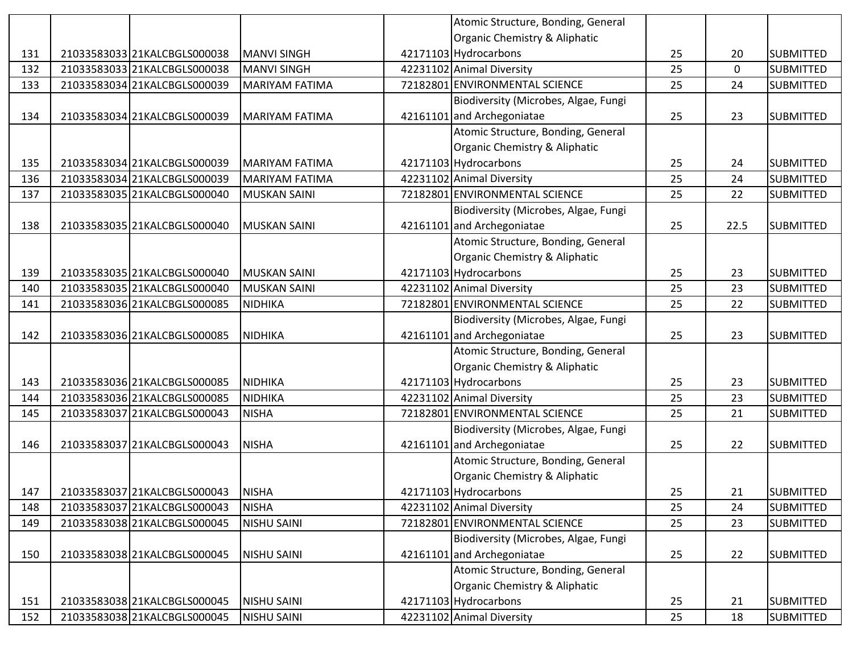|     |                              |                       | Atomic Structure, Bonding, General   |    |             |                  |
|-----|------------------------------|-----------------------|--------------------------------------|----|-------------|------------------|
|     |                              |                       | Organic Chemistry & Aliphatic        |    |             |                  |
| 131 | 21033583033 21KALCBGLS000038 | <b>MANVI SINGH</b>    | 42171103 Hydrocarbons                | 25 | 20          | <b>SUBMITTED</b> |
| 132 | 21033583033 21KALCBGLS000038 | <b>MANVI SINGH</b>    | 42231102 Animal Diversity            | 25 | $\mathbf 0$ | <b>SUBMITTED</b> |
| 133 | 21033583034 21KALCBGLS000039 | <b>MARIYAM FATIMA</b> | 72182801 ENVIRONMENTAL SCIENCE       | 25 | 24          | <b>SUBMITTED</b> |
|     |                              |                       | Biodiversity (Microbes, Algae, Fungi |    |             |                  |
| 134 | 21033583034 21KALCBGLS000039 | MARIYAM FATIMA        | 42161101 and Archegoniatae           | 25 | 23          | <b>SUBMITTED</b> |
|     |                              |                       | Atomic Structure, Bonding, General   |    |             |                  |
|     |                              |                       | Organic Chemistry & Aliphatic        |    |             |                  |
| 135 | 21033583034 21KALCBGLS000039 | <b>MARIYAM FATIMA</b> | 42171103 Hydrocarbons                | 25 | 24          | <b>SUBMITTED</b> |
| 136 | 21033583034 21KALCBGLS000039 | <b>MARIYAM FATIMA</b> | 42231102 Animal Diversity            | 25 | 24          | <b>SUBMITTED</b> |
| 137 | 21033583035 21KALCBGLS000040 | <b>MUSKAN SAINI</b>   | 72182801 ENVIRONMENTAL SCIENCE       | 25 | 22          | <b>SUBMITTED</b> |
|     |                              |                       | Biodiversity (Microbes, Algae, Fungi |    |             |                  |
| 138 | 21033583035 21KALCBGLS000040 | <b>MUSKAN SAINI</b>   | 42161101 and Archegoniatae           | 25 | 22.5        | <b>SUBMITTED</b> |
|     |                              |                       | Atomic Structure, Bonding, General   |    |             |                  |
|     |                              |                       | Organic Chemistry & Aliphatic        |    |             |                  |
| 139 | 21033583035 21KALCBGLS000040 | <b>MUSKAN SAINI</b>   | 42171103 Hydrocarbons                | 25 | 23          | <b>SUBMITTED</b> |
| 140 | 21033583035 21KALCBGLS000040 | <b>MUSKAN SAINI</b>   | 42231102 Animal Diversity            | 25 | 23          | <b>SUBMITTED</b> |
| 141 | 21033583036 21KALCBGLS000085 | <b>NIDHIKA</b>        | 72182801 ENVIRONMENTAL SCIENCE       | 25 | 22          | <b>SUBMITTED</b> |
|     |                              |                       | Biodiversity (Microbes, Algae, Fungi |    |             |                  |
| 142 | 21033583036 21KALCBGLS000085 | <b>NIDHIKA</b>        | 42161101 and Archegoniatae           | 25 | 23          | <b>SUBMITTED</b> |
|     |                              |                       | Atomic Structure, Bonding, General   |    |             |                  |
|     |                              |                       | Organic Chemistry & Aliphatic        |    |             |                  |
| 143 | 21033583036 21KALCBGLS000085 | <b>NIDHIKA</b>        | 42171103 Hydrocarbons                | 25 | 23          | <b>SUBMITTED</b> |
| 144 | 21033583036 21KALCBGLS000085 | <b>NIDHIKA</b>        | 42231102 Animal Diversity            | 25 | 23          | <b>SUBMITTED</b> |
| 145 | 21033583037 21KALCBGLS000043 | <b>NISHA</b>          | 72182801 ENVIRONMENTAL SCIENCE       | 25 | 21          | <b>SUBMITTED</b> |
|     |                              |                       | Biodiversity (Microbes, Algae, Fungi |    |             |                  |
| 146 | 21033583037 21KALCBGLS000043 | <b>NISHA</b>          | 42161101 and Archegoniatae           | 25 | 22          | <b>SUBMITTED</b> |
|     |                              |                       | Atomic Structure, Bonding, General   |    |             |                  |
|     |                              |                       | Organic Chemistry & Aliphatic        |    |             |                  |
| 147 | 21033583037 21KALCBGLS000043 | <b>NISHA</b>          | 42171103 Hydrocarbons                | 25 | 21          | <b>SUBMITTED</b> |
| 148 | 21033583037 21KALCBGLS000043 | <b>NISHA</b>          | 42231102 Animal Diversity            | 25 | 24          | <b>SUBMITTED</b> |
| 149 | 21033583038 21KALCBGLS000045 | <b>NISHU SAINI</b>    | 72182801 ENVIRONMENTAL SCIENCE       | 25 | 23          | <b>SUBMITTED</b> |
|     |                              |                       | Biodiversity (Microbes, Algae, Fungi |    |             |                  |
| 150 | 21033583038 21KALCBGLS000045 | <b>NISHU SAINI</b>    | 42161101 and Archegoniatae           | 25 | 22          | <b>SUBMITTED</b> |
|     |                              |                       | Atomic Structure, Bonding, General   |    |             |                  |
|     |                              |                       | Organic Chemistry & Aliphatic        |    |             |                  |
| 151 | 21033583038 21KALCBGLS000045 | <b>NISHU SAINI</b>    | 42171103 Hydrocarbons                | 25 | 21          | <b>SUBMITTED</b> |
| 152 | 21033583038 21KALCBGLS000045 | <b>NISHU SAINI</b>    | 42231102 Animal Diversity            | 25 | 18          | <b>SUBMITTED</b> |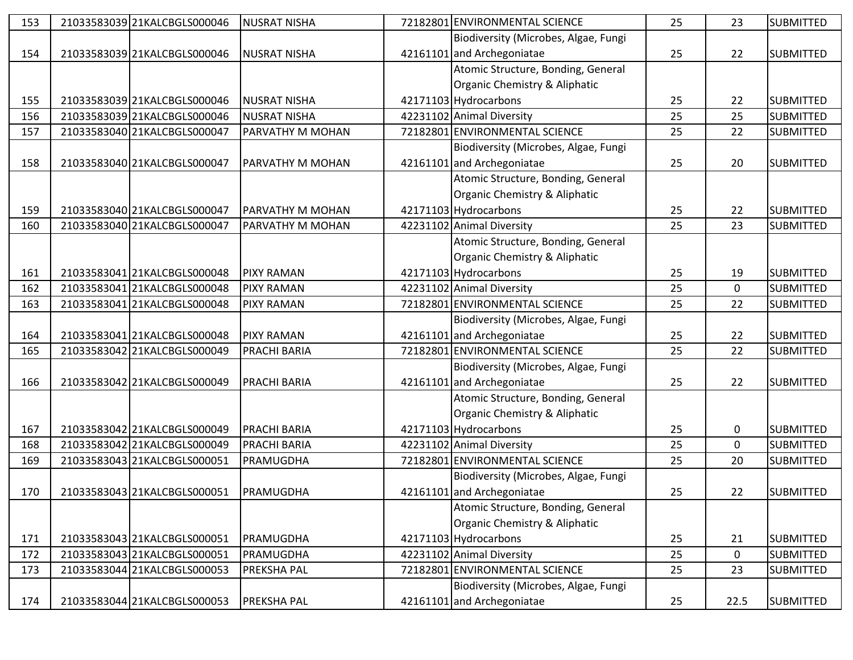| 153 | 21033583039 21KALCBGLS000046 | <b>NUSRAT NISHA</b> | 72182801 ENVIRONMENTAL SCIENCE       | 25 | 23          | <b>SUBMITTED</b> |
|-----|------------------------------|---------------------|--------------------------------------|----|-------------|------------------|
|     |                              |                     | Biodiversity (Microbes, Algae, Fungi |    |             |                  |
| 154 | 21033583039 21KALCBGLS000046 | <b>NUSRAT NISHA</b> | 42161101 and Archegoniatae           | 25 | 22          | <b>SUBMITTED</b> |
|     |                              |                     | Atomic Structure, Bonding, General   |    |             |                  |
|     |                              |                     | Organic Chemistry & Aliphatic        |    |             |                  |
| 155 | 21033583039 21KALCBGLS000046 | <b>NUSRAT NISHA</b> | 42171103 Hydrocarbons                | 25 | 22          | <b>SUBMITTED</b> |
| 156 | 21033583039 21KALCBGLS000046 | <b>NUSRAT NISHA</b> | 42231102 Animal Diversity            | 25 | 25          | <b>SUBMITTED</b> |
| 157 | 21033583040 21KALCBGLS000047 | PARVATHY M MOHAN    | 72182801 ENVIRONMENTAL SCIENCE       | 25 | 22          | <b>SUBMITTED</b> |
|     |                              |                     | Biodiversity (Microbes, Algae, Fungi |    |             |                  |
| 158 | 21033583040 21KALCBGLS000047 | PARVATHY M MOHAN    | 42161101 and Archegoniatae           | 25 | 20          | <b>SUBMITTED</b> |
|     |                              |                     | Atomic Structure, Bonding, General   |    |             |                  |
|     |                              |                     | Organic Chemistry & Aliphatic        |    |             |                  |
| 159 | 21033583040 21KALCBGLS000047 | PARVATHY M MOHAN    | 42171103 Hydrocarbons                | 25 | 22          | <b>SUBMITTED</b> |
| 160 | 21033583040 21KALCBGLS000047 | PARVATHY M MOHAN    | 42231102 Animal Diversity            | 25 | 23          | <b>SUBMITTED</b> |
|     |                              |                     | Atomic Structure, Bonding, General   |    |             |                  |
|     |                              |                     | Organic Chemistry & Aliphatic        |    |             |                  |
| 161 | 21033583041 21KALCBGLS000048 | <b>PIXY RAMAN</b>   | 42171103 Hydrocarbons                | 25 | 19          | <b>SUBMITTED</b> |
| 162 | 21033583041 21KALCBGLS000048 | <b>PIXY RAMAN</b>   | 42231102 Animal Diversity            | 25 | 0           | <b>SUBMITTED</b> |
| 163 | 21033583041 21KALCBGLS000048 | <b>PIXY RAMAN</b>   | 72182801 ENVIRONMENTAL SCIENCE       | 25 | 22          | <b>SUBMITTED</b> |
|     |                              |                     | Biodiversity (Microbes, Algae, Fungi |    |             |                  |
| 164 | 21033583041 21KALCBGLS000048 | <b>PIXY RAMAN</b>   | 42161101 and Archegoniatae           | 25 | 22          | <b>SUBMITTED</b> |
| 165 | 21033583042 21KALCBGLS000049 | PRACHI BARIA        | 72182801 ENVIRONMENTAL SCIENCE       | 25 | 22          | <b>SUBMITTED</b> |
|     |                              |                     | Biodiversity (Microbes, Algae, Fungi |    |             |                  |
| 166 | 21033583042 21KALCBGLS000049 | <b>PRACHI BARIA</b> | 42161101 and Archegoniatae           | 25 | 22          | <b>SUBMITTED</b> |
|     |                              |                     | Atomic Structure, Bonding, General   |    |             |                  |
|     |                              |                     | Organic Chemistry & Aliphatic        |    |             |                  |
| 167 | 21033583042 21KALCBGLS000049 | <b>PRACHI BARIA</b> | 42171103 Hydrocarbons                | 25 | 0           | <b>SUBMITTED</b> |
| 168 | 21033583042 21KALCBGLS000049 | <b>PRACHI BARIA</b> | 42231102 Animal Diversity            | 25 | $\mathbf 0$ | <b>SUBMITTED</b> |
| 169 | 21033583043 21KALCBGLS000051 | PRAMUGDHA           | 72182801 ENVIRONMENTAL SCIENCE       | 25 | 20          | <b>SUBMITTED</b> |
|     |                              |                     | Biodiversity (Microbes, Algae, Fungi |    |             |                  |
| 170 | 21033583043 21KALCBGLS000051 | PRAMUGDHA           | 42161101 and Archegoniatae           | 25 | 22          | <b>SUBMITTED</b> |
|     |                              |                     | Atomic Structure, Bonding, General   |    |             |                  |
|     |                              |                     | Organic Chemistry & Aliphatic        |    |             |                  |
| 171 | 21033583043 21KALCBGLS000051 | PRAMUGDHA           | 42171103 Hydrocarbons                | 25 | 21          | <b>SUBMITTED</b> |
| 172 | 21033583043 21KALCBGLS000051 | PRAMUGDHA           | 42231102 Animal Diversity            | 25 | 0           | <b>SUBMITTED</b> |
| 173 | 21033583044 21KALCBGLS000053 | <b>PREKSHA PAL</b>  | 72182801 ENVIRONMENTAL SCIENCE       | 25 | 23          | <b>SUBMITTED</b> |
|     |                              |                     | Biodiversity (Microbes, Algae, Fungi |    |             |                  |
| 174 | 21033583044 21KALCBGLS000053 | <b>PREKSHA PAL</b>  | 42161101 and Archegoniatae           | 25 | 22.5        | <b>SUBMITTED</b> |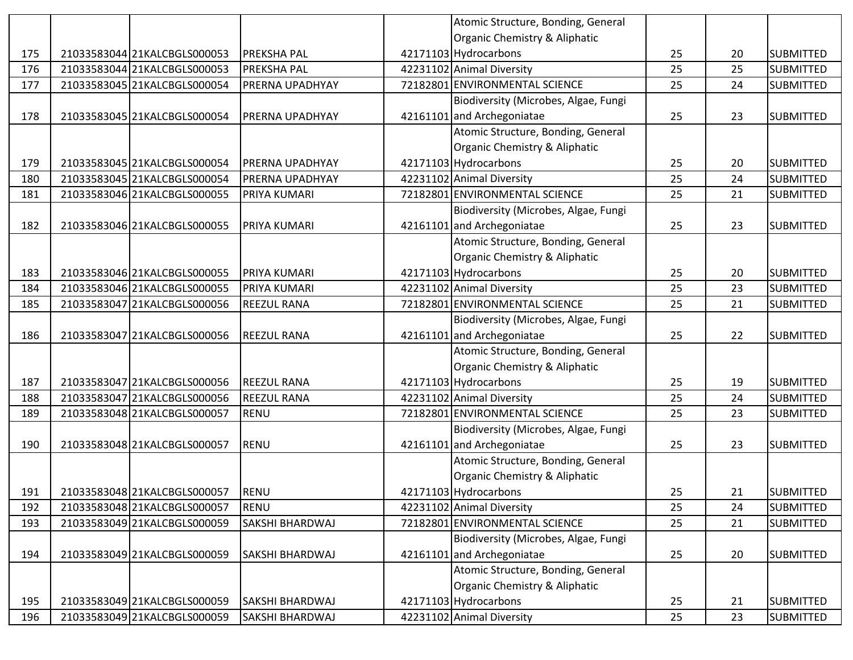|     |                              |                    | Atomic Structure, Bonding, General   |    |    |                  |
|-----|------------------------------|--------------------|--------------------------------------|----|----|------------------|
|     |                              |                    | Organic Chemistry & Aliphatic        |    |    |                  |
| 175 | 21033583044 21KALCBGLS000053 | <b>PREKSHA PAL</b> | 42171103 Hydrocarbons                | 25 | 20 | <b>SUBMITTED</b> |
| 176 | 21033583044 21KALCBGLS000053 | <b>PREKSHA PAL</b> | 42231102 Animal Diversity            | 25 | 25 | <b>SUBMITTED</b> |
| 177 | 21033583045 21KALCBGLS000054 | PRERNA UPADHYAY    | 72182801 ENVIRONMENTAL SCIENCE       | 25 | 24 | <b>SUBMITTED</b> |
|     |                              |                    | Biodiversity (Microbes, Algae, Fungi |    |    |                  |
| 178 | 21033583045 21KALCBGLS000054 | PRERNA UPADHYAY    | 42161101 and Archegoniatae           | 25 | 23 | <b>SUBMITTED</b> |
|     |                              |                    | Atomic Structure, Bonding, General   |    |    |                  |
|     |                              |                    | Organic Chemistry & Aliphatic        |    |    |                  |
| 179 | 21033583045 21KALCBGLS000054 | PRERNA UPADHYAY    | 42171103 Hydrocarbons                | 25 | 20 | <b>SUBMITTED</b> |
| 180 | 21033583045 21KALCBGLS000054 | PRERNA UPADHYAY    | 42231102 Animal Diversity            | 25 | 24 | <b>SUBMITTED</b> |
| 181 | 21033583046 21KALCBGLS000055 | PRIYA KUMARI       | 72182801 ENVIRONMENTAL SCIENCE       | 25 | 21 | <b>SUBMITTED</b> |
|     |                              |                    | Biodiversity (Microbes, Algae, Fungi |    |    |                  |
| 182 | 21033583046 21KALCBGLS000055 | PRIYA KUMARI       | 42161101 and Archegoniatae           | 25 | 23 | <b>SUBMITTED</b> |
|     |                              |                    | Atomic Structure, Bonding, General   |    |    |                  |
|     |                              |                    | Organic Chemistry & Aliphatic        |    |    |                  |
| 183 | 21033583046 21KALCBGLS000055 | PRIYA KUMARI       | 42171103 Hydrocarbons                | 25 | 20 | <b>SUBMITTED</b> |
| 184 | 21033583046 21KALCBGLS000055 | PRIYA KUMARI       | 42231102 Animal Diversity            | 25 | 23 | <b>SUBMITTED</b> |
| 185 | 21033583047 21KALCBGLS000056 | <b>REEZUL RANA</b> | 72182801 ENVIRONMENTAL SCIENCE       | 25 | 21 | <b>SUBMITTED</b> |
|     |                              |                    | Biodiversity (Microbes, Algae, Fungi |    |    |                  |
| 186 | 21033583047 21KALCBGLS000056 | <b>REEZUL RANA</b> | 42161101 and Archegoniatae           | 25 | 22 | <b>SUBMITTED</b> |
|     |                              |                    | Atomic Structure, Bonding, General   |    |    |                  |
|     |                              |                    | Organic Chemistry & Aliphatic        |    |    |                  |
| 187 | 21033583047 21KALCBGLS000056 | <b>REEZUL RANA</b> | 42171103 Hydrocarbons                | 25 | 19 | <b>SUBMITTED</b> |
| 188 | 21033583047 21KALCBGLS000056 | REEZUL RANA        | 42231102 Animal Diversity            | 25 | 24 | <b>SUBMITTED</b> |
| 189 | 21033583048 21KALCBGLS000057 | <b>RENU</b>        | 72182801 ENVIRONMENTAL SCIENCE       | 25 | 23 | <b>SUBMITTED</b> |
|     |                              |                    | Biodiversity (Microbes, Algae, Fungi |    |    |                  |
| 190 | 21033583048 21KALCBGLS000057 | <b>RENU</b>        | 42161101 and Archegoniatae           | 25 | 23 | <b>SUBMITTED</b> |
|     |                              |                    | Atomic Structure, Bonding, General   |    |    |                  |
|     |                              |                    | Organic Chemistry & Aliphatic        |    |    |                  |
| 191 | 21033583048 21KALCBGLS000057 | <b>RENU</b>        | 42171103 Hydrocarbons                | 25 | 21 | <b>SUBMITTED</b> |
| 192 | 21033583048 21KALCBGLS000057 | <b>RENU</b>        | 42231102 Animal Diversity            | 25 | 24 | <b>SUBMITTED</b> |
| 193 | 21033583049 21KALCBGLS000059 | SAKSHI BHARDWAJ    | 72182801 ENVIRONMENTAL SCIENCE       | 25 | 21 | <b>SUBMITTED</b> |
|     |                              |                    | Biodiversity (Microbes, Algae, Fungi |    |    |                  |
| 194 | 21033583049 21KALCBGLS000059 | SAKSHI BHARDWAJ    | 42161101 and Archegoniatae           | 25 | 20 | <b>SUBMITTED</b> |
|     |                              |                    | Atomic Structure, Bonding, General   |    |    |                  |
|     |                              |                    | Organic Chemistry & Aliphatic        |    |    |                  |
| 195 | 21033583049 21KALCBGLS000059 | SAKSHI BHARDWAJ    | 42171103 Hydrocarbons                | 25 | 21 | <b>SUBMITTED</b> |
| 196 | 21033583049 21KALCBGLS000059 | SAKSHI BHARDWAJ    | 42231102 Animal Diversity            | 25 | 23 | <b>SUBMITTED</b> |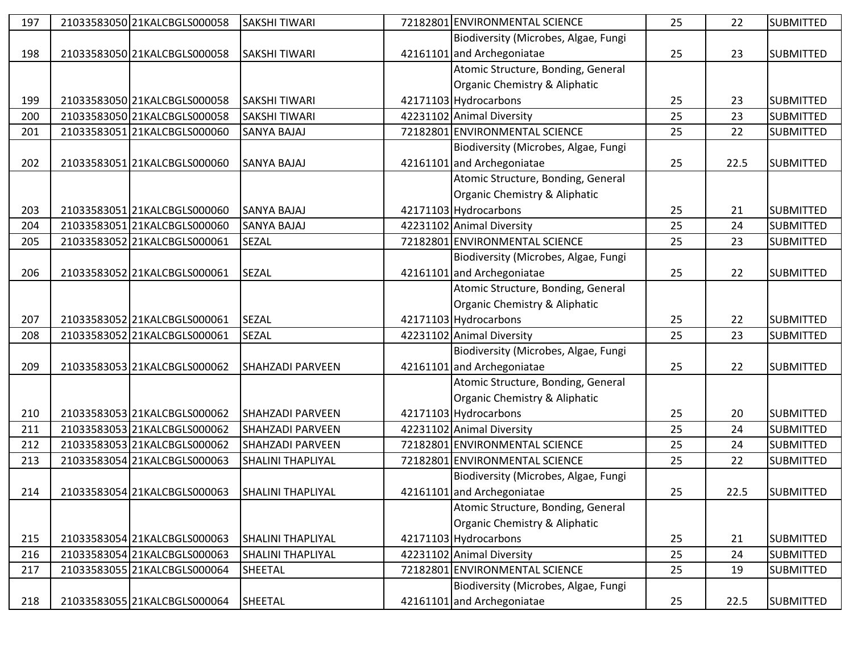| 197 | 21033583050 21KALCBGLS000058 | <b>SAKSHI TIWARI</b>     | 72182801 ENVIRONMENTAL SCIENCE       | 25 | 22   | <b>SUBMITTED</b> |
|-----|------------------------------|--------------------------|--------------------------------------|----|------|------------------|
|     |                              |                          | Biodiversity (Microbes, Algae, Fungi |    |      |                  |
| 198 | 21033583050 21KALCBGLS000058 | <b>SAKSHI TIWARI</b>     | 42161101 and Archegoniatae           | 25 | 23   | <b>SUBMITTED</b> |
|     |                              |                          | Atomic Structure, Bonding, General   |    |      |                  |
|     |                              |                          | Organic Chemistry & Aliphatic        |    |      |                  |
| 199 | 21033583050 21KALCBGLS000058 | <b>SAKSHI TIWARI</b>     | 42171103 Hydrocarbons                | 25 | 23   | <b>SUBMITTED</b> |
| 200 | 21033583050 21KALCBGLS000058 | <b>SAKSHI TIWARI</b>     | 42231102 Animal Diversity            | 25 | 23   | <b>SUBMITTED</b> |
| 201 | 21033583051 21KALCBGLS000060 | SANYA BAJAJ              | 72182801 ENVIRONMENTAL SCIENCE       | 25 | 22   | <b>SUBMITTED</b> |
|     |                              |                          | Biodiversity (Microbes, Algae, Fungi |    |      |                  |
| 202 | 21033583051 21KALCBGLS000060 | <b>SANYA BAJAJ</b>       | 42161101 and Archegoniatae           | 25 | 22.5 | <b>SUBMITTED</b> |
|     |                              |                          | Atomic Structure, Bonding, General   |    |      |                  |
|     |                              |                          | Organic Chemistry & Aliphatic        |    |      |                  |
| 203 | 21033583051 21KALCBGLS000060 | <b>SANYA BAJAJ</b>       | 42171103 Hydrocarbons                | 25 | 21   | <b>SUBMITTED</b> |
| 204 | 21033583051 21KALCBGLS000060 | <b>SANYA BAJAJ</b>       | 42231102 Animal Diversity            | 25 | 24   | <b>SUBMITTED</b> |
| 205 | 21033583052 21KALCBGLS000061 | SEZAL                    | 72182801 ENVIRONMENTAL SCIENCE       | 25 | 23   | <b>SUBMITTED</b> |
|     |                              |                          | Biodiversity (Microbes, Algae, Fungi |    |      |                  |
| 206 | 21033583052 21KALCBGLS000061 | <b>SEZAL</b>             | 42161101 and Archegoniatae           | 25 | 22   | <b>SUBMITTED</b> |
|     |                              |                          | Atomic Structure, Bonding, General   |    |      |                  |
|     |                              |                          | Organic Chemistry & Aliphatic        |    |      |                  |
| 207 | 21033583052 21KALCBGLS000061 | <b>SEZAL</b>             | 42171103 Hydrocarbons                | 25 | 22   | <b>SUBMITTED</b> |
| 208 | 21033583052 21KALCBGLS000061 | <b>SEZAL</b>             | 42231102 Animal Diversity            | 25 | 23   | <b>SUBMITTED</b> |
|     |                              |                          | Biodiversity (Microbes, Algae, Fungi |    |      |                  |
| 209 | 21033583053 21KALCBGLS000062 | <b>SHAHZADI PARVEEN</b>  | 42161101 and Archegoniatae           | 25 | 22   | <b>SUBMITTED</b> |
|     |                              |                          | Atomic Structure, Bonding, General   |    |      |                  |
|     |                              |                          | Organic Chemistry & Aliphatic        |    |      |                  |
| 210 | 21033583053 21KALCBGLS000062 | <b>SHAHZADI PARVEEN</b>  | 42171103 Hydrocarbons                | 25 | 20   | <b>SUBMITTED</b> |
| 211 | 21033583053 21KALCBGLS000062 | SHAHZADI PARVEEN         | 42231102 Animal Diversity            | 25 | 24   | <b>SUBMITTED</b> |
| 212 | 21033583053 21KALCBGLS000062 | SHAHZADI PARVEEN         | 72182801 ENVIRONMENTAL SCIENCE       | 25 | 24   | <b>SUBMITTED</b> |
| 213 | 21033583054 21KALCBGLS000063 | <b>SHALINI THAPLIYAL</b> | 72182801 ENVIRONMENTAL SCIENCE       | 25 | 22   | <b>SUBMITTED</b> |
|     |                              |                          | Biodiversity (Microbes, Algae, Fungi |    |      |                  |
| 214 | 21033583054 21KALCBGLS000063 | <b>SHALINI THAPLIYAL</b> | 42161101 and Archegoniatae           | 25 | 22.5 | <b>SUBMITTED</b> |
|     |                              |                          | Atomic Structure, Bonding, General   |    |      |                  |
|     |                              |                          | Organic Chemistry & Aliphatic        |    |      |                  |
| 215 | 21033583054 21KALCBGLS000063 | <b>SHALINI THAPLIYAL</b> | 42171103 Hydrocarbons                | 25 | 21   | <b>SUBMITTED</b> |
| 216 | 21033583054 21KALCBGLS000063 | <b>SHALINI THAPLIYAL</b> | 42231102 Animal Diversity            | 25 | 24   | <b>SUBMITTED</b> |
| 217 | 21033583055 21KALCBGLS000064 | SHEETAL                  | 72182801 ENVIRONMENTAL SCIENCE       | 25 | 19   | <b>SUBMITTED</b> |
|     |                              |                          | Biodiversity (Microbes, Algae, Fungi |    |      |                  |
| 218 | 21033583055 21KALCBGLS000064 | SHEETAL                  | 42161101 and Archegoniatae           | 25 | 22.5 | <b>SUBMITTED</b> |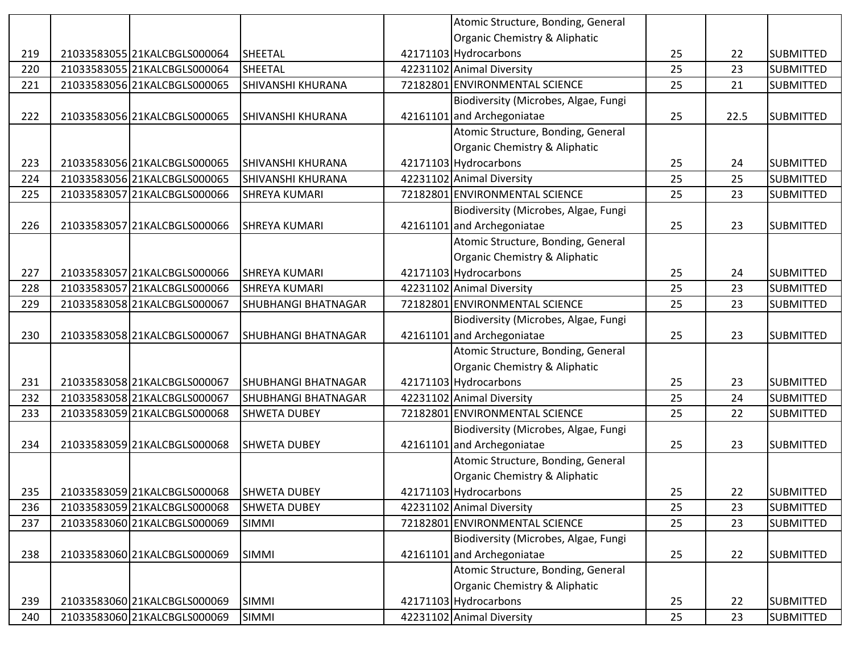|     |                              |                            | Atomic Structure, Bonding, General   |    |      |                  |
|-----|------------------------------|----------------------------|--------------------------------------|----|------|------------------|
|     |                              |                            | Organic Chemistry & Aliphatic        |    |      |                  |
| 219 | 21033583055 21KALCBGLS000064 | <b>SHEETAL</b>             | 42171103 Hydrocarbons                | 25 | 22   | <b>SUBMITTED</b> |
| 220 | 21033583055 21KALCBGLS000064 | <b>SHEETAL</b>             | 42231102 Animal Diversity            | 25 | 23   | <b>SUBMITTED</b> |
| 221 | 21033583056 21KALCBGLS000065 | SHIVANSHI KHURANA          | 72182801 ENVIRONMENTAL SCIENCE       | 25 | 21   | <b>SUBMITTED</b> |
|     |                              |                            | Biodiversity (Microbes, Algae, Fungi |    |      |                  |
| 222 | 21033583056 21KALCBGLS000065 | SHIVANSHI KHURANA          | 42161101 and Archegoniatae           | 25 | 22.5 | <b>SUBMITTED</b> |
|     |                              |                            | Atomic Structure, Bonding, General   |    |      |                  |
|     |                              |                            | Organic Chemistry & Aliphatic        |    |      |                  |
| 223 | 21033583056 21KALCBGLS000065 | <b>SHIVANSHI KHURANA</b>   | 42171103 Hydrocarbons                | 25 | 24   | <b>SUBMITTED</b> |
| 224 | 21033583056 21KALCBGLS000065 | SHIVANSHI KHURANA          | 42231102 Animal Diversity            | 25 | 25   | <b>SUBMITTED</b> |
| 225 | 21033583057 21KALCBGLS000066 | <b>SHREYA KUMARI</b>       | 72182801 ENVIRONMENTAL SCIENCE       | 25 | 23   | <b>SUBMITTED</b> |
|     |                              |                            | Biodiversity (Microbes, Algae, Fungi |    |      |                  |
| 226 | 21033583057 21KALCBGLS000066 | <b>SHREYA KUMARI</b>       | 42161101 and Archegoniatae           | 25 | 23   | <b>SUBMITTED</b> |
|     |                              |                            | Atomic Structure, Bonding, General   |    |      |                  |
|     |                              |                            | Organic Chemistry & Aliphatic        |    |      |                  |
| 227 | 21033583057 21KALCBGLS000066 | <b>SHREYA KUMARI</b>       | 42171103 Hydrocarbons                | 25 | 24   | <b>SUBMITTED</b> |
| 228 | 21033583057 21KALCBGLS000066 | <b>SHREYA KUMARI</b>       | 42231102 Animal Diversity            | 25 | 23   | <b>SUBMITTED</b> |
| 229 | 21033583058 21KALCBGLS000067 | <b>SHUBHANGI BHATNAGAR</b> | 72182801 ENVIRONMENTAL SCIENCE       | 25 | 23   | <b>SUBMITTED</b> |
|     |                              |                            | Biodiversity (Microbes, Algae, Fungi |    |      |                  |
| 230 | 21033583058 21KALCBGLS000067 | SHUBHANGI BHATNAGAR        | 42161101 and Archegoniatae           | 25 | 23   | <b>SUBMITTED</b> |
|     |                              |                            | Atomic Structure, Bonding, General   |    |      |                  |
|     |                              |                            | Organic Chemistry & Aliphatic        |    |      |                  |
| 231 | 21033583058 21KALCBGLS000067 | <b>SHUBHANGI BHATNAGAR</b> | 42171103 Hydrocarbons                | 25 | 23   | <b>SUBMITTED</b> |
| 232 | 21033583058 21KALCBGLS000067 | SHUBHANGI BHATNAGAR        | 42231102 Animal Diversity            | 25 | 24   | <b>SUBMITTED</b> |
| 233 | 21033583059 21KALCBGLS000068 | <b>SHWETA DUBEY</b>        | 72182801 ENVIRONMENTAL SCIENCE       | 25 | 22   | <b>SUBMITTED</b> |
|     |                              |                            | Biodiversity (Microbes, Algae, Fungi |    |      |                  |
| 234 | 21033583059 21KALCBGLS000068 | <b>SHWETA DUBEY</b>        | 42161101 and Archegoniatae           | 25 | 23   | <b>SUBMITTED</b> |
|     |                              |                            | Atomic Structure, Bonding, General   |    |      |                  |
|     |                              |                            | Organic Chemistry & Aliphatic        |    |      |                  |
| 235 | 21033583059 21KALCBGLS000068 | <b>SHWETA DUBEY</b>        | 42171103 Hydrocarbons                | 25 | 22   | <b>SUBMITTED</b> |
| 236 | 21033583059 21KALCBGLS000068 | <b>SHWETA DUBEY</b>        | 42231102 Animal Diversity            | 25 | 23   | <b>SUBMITTED</b> |
| 237 | 21033583060 21KALCBGLS000069 | <b>SIMMI</b>               | 72182801 ENVIRONMENTAL SCIENCE       | 25 | 23   | <b>SUBMITTED</b> |
|     |                              |                            | Biodiversity (Microbes, Algae, Fungi |    |      |                  |
| 238 | 21033583060 21KALCBGLS000069 | <b>SIMMI</b>               | 42161101 and Archegoniatae           | 25 | 22   | <b>SUBMITTED</b> |
|     |                              |                            | Atomic Structure, Bonding, General   |    |      |                  |
|     |                              |                            |                                      |    |      |                  |
|     |                              |                            | Organic Chemistry & Aliphatic        |    |      |                  |
| 239 | 21033583060 21KALCBGLS000069 | <b>SIMMI</b>               | 42171103 Hydrocarbons                | 25 | 22   | <b>SUBMITTED</b> |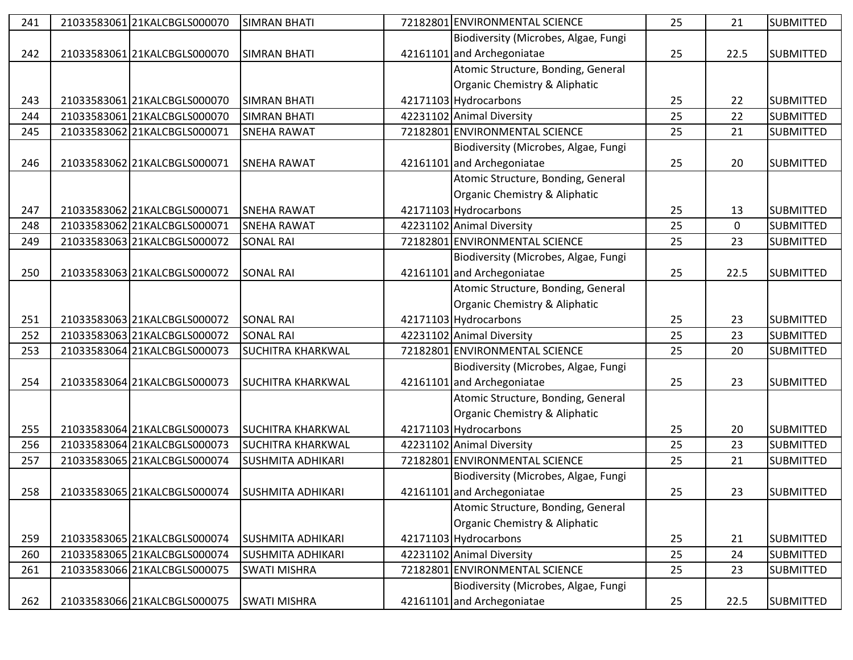| 241 | 21033583061 21KALCBGLS000070 | <b>SIMRAN BHATI</b>      | 72182801 ENVIRONMENTAL SCIENCE       | 25 | 21          | <b>SUBMITTED</b> |
|-----|------------------------------|--------------------------|--------------------------------------|----|-------------|------------------|
|     |                              |                          | Biodiversity (Microbes, Algae, Fungi |    |             |                  |
| 242 | 21033583061 21KALCBGLS000070 | <b>SIMRAN BHATI</b>      | 42161101 and Archegoniatae           | 25 | 22.5        | <b>SUBMITTED</b> |
|     |                              |                          | Atomic Structure, Bonding, General   |    |             |                  |
|     |                              |                          | Organic Chemistry & Aliphatic        |    |             |                  |
| 243 | 21033583061 21KALCBGLS000070 | <b>SIMRAN BHATI</b>      | 42171103 Hydrocarbons                | 25 | 22          | <b>SUBMITTED</b> |
| 244 | 21033583061 21KALCBGLS000070 | <b>SIMRAN BHATI</b>      | 42231102 Animal Diversity            | 25 | 22          | <b>SUBMITTED</b> |
| 245 | 21033583062 21KALCBGLS000071 | <b>SNEHA RAWAT</b>       | 72182801 ENVIRONMENTAL SCIENCE       | 25 | 21          | <b>SUBMITTED</b> |
|     |                              |                          | Biodiversity (Microbes, Algae, Fungi |    |             |                  |
| 246 | 21033583062 21KALCBGLS000071 | <b>SNEHA RAWAT</b>       | 42161101 and Archegoniatae           | 25 | 20          | <b>SUBMITTED</b> |
|     |                              |                          | Atomic Structure, Bonding, General   |    |             |                  |
|     |                              |                          | Organic Chemistry & Aliphatic        |    |             |                  |
| 247 | 21033583062 21KALCBGLS000071 | <b>SNEHA RAWAT</b>       | 42171103 Hydrocarbons                | 25 | 13          | <b>SUBMITTED</b> |
| 248 | 21033583062 21KALCBGLS000071 | <b>SNEHA RAWAT</b>       | 42231102 Animal Diversity            | 25 | $\mathbf 0$ | <b>SUBMITTED</b> |
| 249 | 21033583063 21KALCBGLS000072 | <b>SONAL RAI</b>         | 72182801 ENVIRONMENTAL SCIENCE       | 25 | 23          | <b>SUBMITTED</b> |
|     |                              |                          | Biodiversity (Microbes, Algae, Fungi |    |             |                  |
| 250 | 21033583063 21KALCBGLS000072 | <b>SONAL RAI</b>         | 42161101 and Archegoniatae           | 25 | 22.5        | <b>SUBMITTED</b> |
|     |                              |                          | Atomic Structure, Bonding, General   |    |             |                  |
|     |                              |                          | Organic Chemistry & Aliphatic        |    |             |                  |
| 251 | 21033583063 21KALCBGLS000072 | <b>SONAL RAI</b>         | 42171103 Hydrocarbons                | 25 | 23          | <b>SUBMITTED</b> |
| 252 | 21033583063 21KALCBGLS000072 | <b>SONAL RAI</b>         | 42231102 Animal Diversity            | 25 | 23          | <b>SUBMITTED</b> |
| 253 | 21033583064 21KALCBGLS000073 | <b>SUCHITRA KHARKWAL</b> | 72182801 ENVIRONMENTAL SCIENCE       | 25 | 20          | <b>SUBMITTED</b> |
|     |                              |                          | Biodiversity (Microbes, Algae, Fungi |    |             |                  |
| 254 | 21033583064 21KALCBGLS000073 | <b>SUCHITRA KHARKWAL</b> | 42161101 and Archegoniatae           | 25 | 23          | <b>SUBMITTED</b> |
|     |                              |                          | Atomic Structure, Bonding, General   |    |             |                  |
|     |                              |                          | Organic Chemistry & Aliphatic        |    |             |                  |
| 255 | 21033583064 21KALCBGLS000073 | <b>SUCHITRA KHARKWAL</b> | 42171103 Hydrocarbons                | 25 | 20          | <b>SUBMITTED</b> |
| 256 | 21033583064 21KALCBGLS000073 | <b>SUCHITRA KHARKWAL</b> | 42231102 Animal Diversity            | 25 | 23          | <b>SUBMITTED</b> |
| 257 | 21033583065 21KALCBGLS000074 | <b>SUSHMITA ADHIKARI</b> | 72182801 ENVIRONMENTAL SCIENCE       | 25 | 21          | <b>SUBMITTED</b> |
|     |                              |                          | Biodiversity (Microbes, Algae, Fungi |    |             |                  |
| 258 | 21033583065 21KALCBGLS000074 | <b>SUSHMITA ADHIKARI</b> | 42161101 and Archegoniatae           | 25 | 23          | <b>SUBMITTED</b> |
|     |                              |                          | Atomic Structure, Bonding, General   |    |             |                  |
|     |                              |                          | Organic Chemistry & Aliphatic        |    |             |                  |
| 259 | 21033583065 21KALCBGLS000074 | <b>SUSHMITA ADHIKARI</b> | 42171103 Hydrocarbons                | 25 | 21          | <b>SUBMITTED</b> |
| 260 | 21033583065 21KALCBGLS000074 | <b>SUSHMITA ADHIKARI</b> | 42231102 Animal Diversity            | 25 | 24          | <b>SUBMITTED</b> |
| 261 | 21033583066 21KALCBGLS000075 | <b>SWATI MISHRA</b>      | 72182801 ENVIRONMENTAL SCIENCE       | 25 | 23          | <b>SUBMITTED</b> |
|     |                              |                          | Biodiversity (Microbes, Algae, Fungi |    |             |                  |
| 262 | 21033583066 21KALCBGLS000075 | <b>SWATI MISHRA</b>      | 42161101 and Archegoniatae           | 25 | 22.5        | <b>SUBMITTED</b> |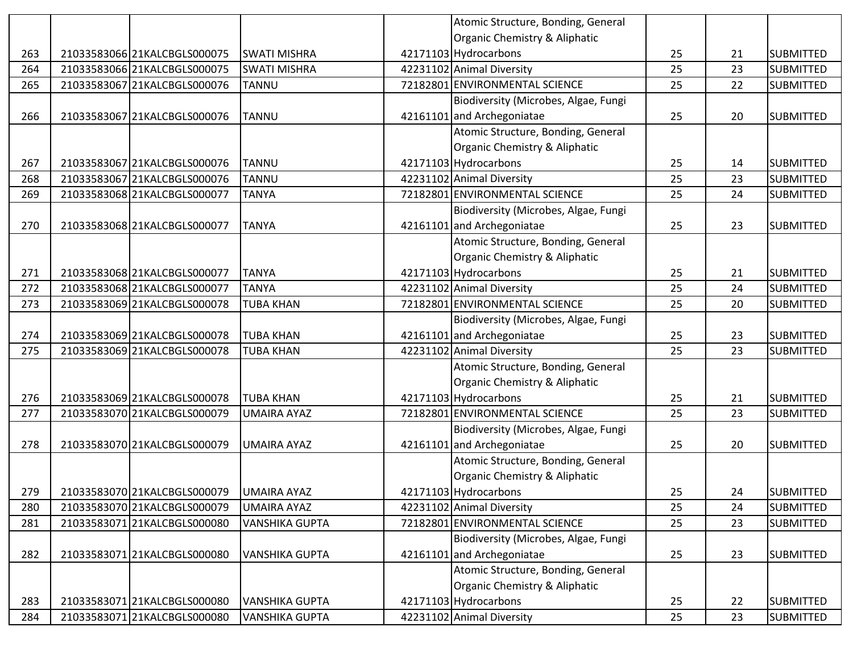|     |                              |                       | Atomic Structure, Bonding, General   |    |    |                  |
|-----|------------------------------|-----------------------|--------------------------------------|----|----|------------------|
|     |                              |                       | Organic Chemistry & Aliphatic        |    |    |                  |
| 263 | 21033583066 21KALCBGLS000075 | <b>SWATI MISHRA</b>   | 42171103 Hydrocarbons                | 25 | 21 | <b>SUBMITTED</b> |
| 264 | 21033583066 21KALCBGLS000075 | <b>SWATI MISHRA</b>   | 42231102 Animal Diversity            | 25 | 23 | <b>SUBMITTED</b> |
| 265 | 21033583067 21KALCBGLS000076 | <b>TANNU</b>          | 72182801 ENVIRONMENTAL SCIENCE       | 25 | 22 | <b>SUBMITTED</b> |
|     |                              |                       | Biodiversity (Microbes, Algae, Fungi |    |    |                  |
| 266 | 21033583067 21KALCBGLS000076 | <b>TANNU</b>          | 42161101 and Archegoniatae           | 25 | 20 | <b>SUBMITTED</b> |
|     |                              |                       | Atomic Structure, Bonding, General   |    |    |                  |
|     |                              |                       | Organic Chemistry & Aliphatic        |    |    |                  |
| 267 | 21033583067 21KALCBGLS000076 | <b>TANNU</b>          | 42171103 Hydrocarbons                | 25 | 14 | <b>SUBMITTED</b> |
| 268 | 21033583067 21KALCBGLS000076 | <b>TANNU</b>          | 42231102 Animal Diversity            | 25 | 23 | <b>SUBMITTED</b> |
| 269 | 21033583068 21KALCBGLS000077 | <b>TANYA</b>          | 72182801 ENVIRONMENTAL SCIENCE       | 25 | 24 | <b>SUBMITTED</b> |
|     |                              |                       | Biodiversity (Microbes, Algae, Fungi |    |    |                  |
| 270 | 21033583068 21KALCBGLS000077 | <b>TANYA</b>          | 42161101 and Archegoniatae           | 25 | 23 | <b>SUBMITTED</b> |
|     |                              |                       | Atomic Structure, Bonding, General   |    |    |                  |
|     |                              |                       | Organic Chemistry & Aliphatic        |    |    |                  |
| 271 | 21033583068 21KALCBGLS000077 | <b>TANYA</b>          | 42171103 Hydrocarbons                | 25 | 21 | <b>SUBMITTED</b> |
| 272 | 21033583068 21KALCBGLS000077 | <b>TANYA</b>          | 42231102 Animal Diversity            | 25 | 24 | <b>SUBMITTED</b> |
| 273 | 21033583069 21KALCBGLS000078 | <b>TUBA KHAN</b>      | 72182801 ENVIRONMENTAL SCIENCE       | 25 | 20 | <b>SUBMITTED</b> |
|     |                              |                       | Biodiversity (Microbes, Algae, Fungi |    |    |                  |
| 274 | 21033583069 21KALCBGLS000078 | <b>TUBA KHAN</b>      | 42161101 and Archegoniatae           | 25 | 23 | <b>SUBMITTED</b> |
| 275 | 21033583069 21KALCBGLS000078 | <b>TUBA KHAN</b>      | 42231102 Animal Diversity            | 25 | 23 | <b>SUBMITTED</b> |
|     |                              |                       | Atomic Structure, Bonding, General   |    |    |                  |
|     |                              |                       | Organic Chemistry & Aliphatic        |    |    |                  |
| 276 | 21033583069 21KALCBGLS000078 | <b>TUBA KHAN</b>      | 42171103 Hydrocarbons                | 25 | 21 | <b>SUBMITTED</b> |
| 277 | 21033583070 21KALCBGLS000079 | <b>UMAIRA AYAZ</b>    | 72182801 ENVIRONMENTAL SCIENCE       | 25 | 23 | <b>SUBMITTED</b> |
|     |                              |                       | Biodiversity (Microbes, Algae, Fungi |    |    |                  |
| 278 | 21033583070 21KALCBGLS000079 | <b>UMAIRA AYAZ</b>    | 42161101 and Archegoniatae           | 25 | 20 | <b>SUBMITTED</b> |
|     |                              |                       | Atomic Structure, Bonding, General   |    |    |                  |
|     |                              |                       | Organic Chemistry & Aliphatic        |    |    |                  |
| 279 | 21033583070 21KALCBGLS000079 | <b>UMAIRA AYAZ</b>    | 42171103 Hydrocarbons                | 25 | 24 | <b>SUBMITTED</b> |
| 280 | 21033583070 21KALCBGLS000079 | UMAIRA AYAZ           | 42231102 Animal Diversity            | 25 | 24 | <b>SUBMITTED</b> |
| 281 | 21033583071 21KALCBGLS000080 | <b>VANSHIKA GUPTA</b> | 72182801 ENVIRONMENTAL SCIENCE       | 25 | 23 | <b>SUBMITTED</b> |
|     |                              |                       | Biodiversity (Microbes, Algae, Fungi |    |    |                  |
| 282 | 2103358307121KALCBGLS000080  | <b>VANSHIKA GUPTA</b> | 42161101 and Archegoniatae           | 25 | 23 | <b>SUBMITTED</b> |
|     |                              |                       | Atomic Structure, Bonding, General   |    |    |                  |
|     |                              |                       | Organic Chemistry & Aliphatic        |    |    |                  |
| 283 | 21033583071 21KALCBGLS000080 | <b>VANSHIKA GUPTA</b> | 42171103 Hydrocarbons                | 25 | 22 | <b>SUBMITTED</b> |
| 284 | 2103358307121KALCBGLS000080  | <b>VANSHIKA GUPTA</b> | 42231102 Animal Diversity            | 25 | 23 | <b>SUBMITTED</b> |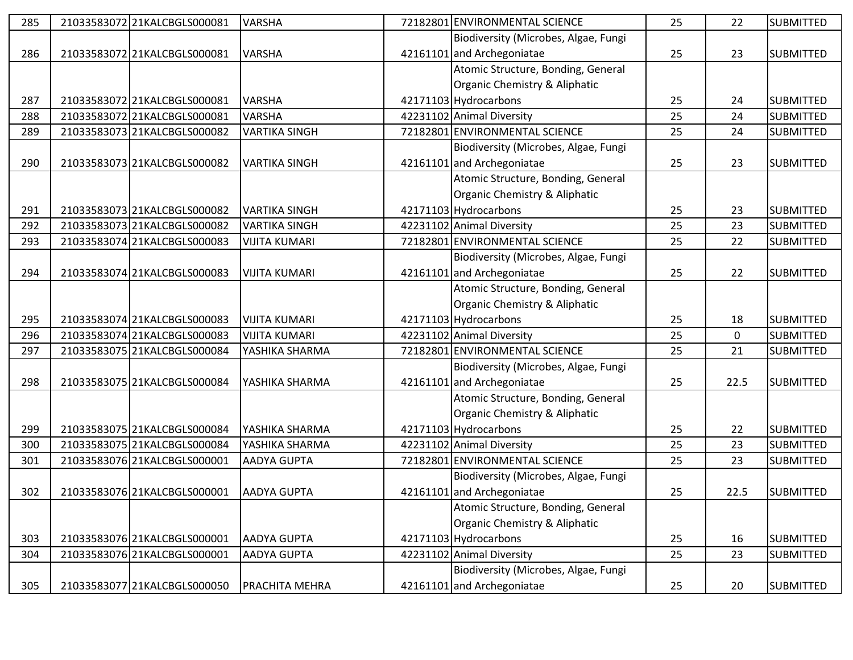| 285 | 21033583072 21KALCBGLS000081 | <b>VARSHA</b>        | 72182801 ENVIRONMENTAL SCIENCE       | 25 | 22          | <b>SUBMITTED</b> |
|-----|------------------------------|----------------------|--------------------------------------|----|-------------|------------------|
|     |                              |                      | Biodiversity (Microbes, Algae, Fungi |    |             |                  |
| 286 | 21033583072 21KALCBGLS000081 | <b>VARSHA</b>        | 42161101 and Archegoniatae           | 25 | 23          | <b>SUBMITTED</b> |
|     |                              |                      | Atomic Structure, Bonding, General   |    |             |                  |
|     |                              |                      | Organic Chemistry & Aliphatic        |    |             |                  |
| 287 | 21033583072 21KALCBGLS000081 | <b>VARSHA</b>        | 42171103 Hydrocarbons                | 25 | 24          | <b>SUBMITTED</b> |
| 288 | 21033583072 21KALCBGLS000081 | VARSHA               | 42231102 Animal Diversity            | 25 | 24          | <b>SUBMITTED</b> |
| 289 | 21033583073 21KALCBGLS000082 | <b>VARTIKA SINGH</b> | 72182801 ENVIRONMENTAL SCIENCE       | 25 | 24          | <b>SUBMITTED</b> |
|     |                              |                      | Biodiversity (Microbes, Algae, Fungi |    |             |                  |
| 290 | 21033583073 21KALCBGLS000082 | <b>VARTIKA SINGH</b> | 42161101 and Archegoniatae           | 25 | 23          | <b>SUBMITTED</b> |
|     |                              |                      | Atomic Structure, Bonding, General   |    |             |                  |
|     |                              |                      | Organic Chemistry & Aliphatic        |    |             |                  |
| 291 | 21033583073 21KALCBGLS000082 | <b>VARTIKA SINGH</b> | 42171103 Hydrocarbons                | 25 | 23          | <b>SUBMITTED</b> |
| 292 | 21033583073 21KALCBGLS000082 | <b>VARTIKA SINGH</b> | 42231102 Animal Diversity            | 25 | 23          | <b>SUBMITTED</b> |
| 293 | 21033583074 21KALCBGLS000083 | <b>VIJITA KUMARI</b> | 72182801 ENVIRONMENTAL SCIENCE       | 25 | 22          | <b>SUBMITTED</b> |
|     |                              |                      | Biodiversity (Microbes, Algae, Fungi |    |             |                  |
| 294 | 21033583074 21KALCBGLS000083 | <b>VIJITA KUMARI</b> | 42161101 and Archegoniatae           | 25 | 22          | <b>SUBMITTED</b> |
|     |                              |                      | Atomic Structure, Bonding, General   |    |             |                  |
|     |                              |                      | Organic Chemistry & Aliphatic        |    |             |                  |
| 295 | 21033583074 21KALCBGLS000083 | <b>VIJITA KUMARI</b> | 42171103 Hydrocarbons                | 25 | 18          | <b>SUBMITTED</b> |
| 296 | 21033583074 21KALCBGLS000083 | <b>VIJITA KUMARI</b> | 42231102 Animal Diversity            | 25 | $\mathbf 0$ | <b>SUBMITTED</b> |
| 297 | 21033583075 21KALCBGLS000084 | YASHIKA SHARMA       | 72182801 ENVIRONMENTAL SCIENCE       | 25 | 21          | <b>SUBMITTED</b> |
|     |                              |                      | Biodiversity (Microbes, Algae, Fungi |    |             |                  |
| 298 | 21033583075 21KALCBGLS000084 | YASHIKA SHARMA       | 42161101 and Archegoniatae           | 25 | 22.5        | <b>SUBMITTED</b> |
|     |                              |                      | Atomic Structure, Bonding, General   |    |             |                  |
|     |                              |                      | Organic Chemistry & Aliphatic        |    |             |                  |
| 299 | 21033583075 21KALCBGLS000084 | YASHIKA SHARMA       | 42171103 Hydrocarbons                | 25 | 22          | <b>SUBMITTED</b> |
| 300 | 21033583075 21KALCBGLS000084 | YASHIKA SHARMA       | 42231102 Animal Diversity            | 25 | 23          | <b>SUBMITTED</b> |
| 301 | 21033583076 21KALCBGLS000001 | AADYA GUPTA          | 72182801 ENVIRONMENTAL SCIENCE       | 25 | 23          | <b>SUBMITTED</b> |
|     |                              |                      | Biodiversity (Microbes, Algae, Fungi |    |             |                  |
| 302 | 21033583076 21KALCBGLS000001 | <b>AADYA GUPTA</b>   | 42161101 and Archegoniatae           | 25 | 22.5        | <b>SUBMITTED</b> |
|     |                              |                      | Atomic Structure, Bonding, General   |    |             |                  |
|     |                              |                      | Organic Chemistry & Aliphatic        |    |             |                  |
| 303 | 21033583076 21KALCBGLS000001 | <b>AADYA GUPTA</b>   | 42171103 Hydrocarbons                | 25 | 16          | <b>SUBMITTED</b> |
| 304 | 21033583076 21KALCBGLS000001 | <b>AADYA GUPTA</b>   | 42231102 Animal Diversity            | 25 | 23          | <b>SUBMITTED</b> |
|     |                              |                      | Biodiversity (Microbes, Algae, Fungi |    |             |                  |
| 305 | 21033583077 21KALCBGLS000050 | PRACHITA MEHRA       | 42161101 and Archegoniatae           | 25 | 20          | <b>SUBMITTED</b> |